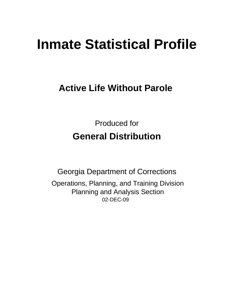# **Inmate Statistical Profile**

## **Active Life Without Parole**

**Produced for General Distribution** 

**Georgia Department of Corrections** Operations, Planning, and Training Division **Planning and Analysis Section** 02-DEC-09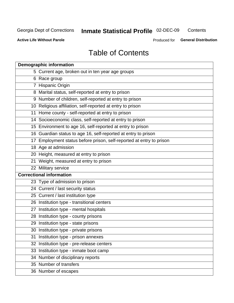## Inmate Statistical Profile 02-DEC-09

Contents

**Active Life Without Parole** 

Produced for General Distribution

## **Table of Contents**

|    | <b>Demographic information</b>                                       |
|----|----------------------------------------------------------------------|
|    | 5 Current age, broken out in ten year age groups                     |
|    | 6 Race group                                                         |
|    | 7 Hispanic Origin                                                    |
|    | 8 Marital status, self-reported at entry to prison                   |
|    | 9 Number of children, self-reported at entry to prison               |
|    | 10 Religious affiliation, self-reported at entry to prison           |
|    | 11 Home county - self-reported at entry to prison                    |
|    | 14 Socioeconomic class, self-reported at entry to prison             |
|    | 15 Environment to age 16, self-reported at entry to prison           |
|    | 16 Guardian status to age 16, self-reported at entry to prison       |
|    | 17 Employment status before prison, self-reported at entry to prison |
|    | 18 Age at admission                                                  |
|    | 20 Height, measured at entry to prison                               |
|    | 21 Weight, measured at entry to prison                               |
|    | 22 Military service                                                  |
|    | <b>Correctional information</b>                                      |
|    | 23 Type of admission to prison                                       |
|    | 24 Current / last security status                                    |
|    | 25 Current / last institution type                                   |
|    | 26 Institution type - transitional centers                           |
| 27 | Institution type - mental hospitals                                  |
|    | 28 Institution type - county prisons                                 |
|    | 29 Institution type - state prisons                                  |
|    | 30 Institution type - private prisons                                |
|    | 31 Institution type - prison annexes                                 |
|    | 32 Institution type - pre-release centers                            |
|    | 33 Institution type - inmate boot camp                               |
|    | 34 Number of disciplinary reports                                    |
|    | 35 Number of transfers                                               |
|    | 36 Number of escapes                                                 |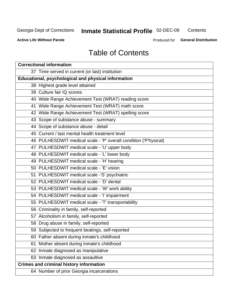## Inmate Statistical Profile 02-DEC-09

Contents

**Active Life Without Parole** 

Produced for General Distribution

## **Table of Contents**

| <b>Correctional information</b>                                  |  |  |  |  |  |  |
|------------------------------------------------------------------|--|--|--|--|--|--|
| 37 Time served in current (or last) institution                  |  |  |  |  |  |  |
| Educational, psychological and physical information              |  |  |  |  |  |  |
| 38 Highest grade level attained                                  |  |  |  |  |  |  |
| 39 Culture fair IQ scores                                        |  |  |  |  |  |  |
| 40 Wide Range Achievement Test (WRAT) reading score              |  |  |  |  |  |  |
| 41 Wide Range Achievement Test (WRAT) math score                 |  |  |  |  |  |  |
| 42 Wide Range Achievement Test (WRAT) spelling score             |  |  |  |  |  |  |
| 43 Scope of substance abuse - summary                            |  |  |  |  |  |  |
| 44 Scope of substance abuse - detail                             |  |  |  |  |  |  |
| 45 Current / last mental health treatment level                  |  |  |  |  |  |  |
| 46 PULHESDWIT medical scale - 'P' overall condition ('P'hysical) |  |  |  |  |  |  |
| 47 PULHESDWIT medical scale - 'U' upper body                     |  |  |  |  |  |  |
| 48 PULHESDWIT medical scale - 'L' lower body                     |  |  |  |  |  |  |
| 49 PULHESDWIT medical scale - 'H' hearing                        |  |  |  |  |  |  |
| 50 PULHESDWIT medical scale - 'E' vision                         |  |  |  |  |  |  |
| 51 PULHESDWIT medical scale -'S' psychiatric                     |  |  |  |  |  |  |
| 52 PULHESDWIT medical scale - 'D' dental                         |  |  |  |  |  |  |
| 53 PULHESDWIT medical scale - 'W' work ability                   |  |  |  |  |  |  |
| 54 PULHESDWIT medical scale - 'I' impairment                     |  |  |  |  |  |  |
| 55 PULHESDWIT medical scale - 'T' transportability               |  |  |  |  |  |  |
| 56 Criminality in family, self-reported                          |  |  |  |  |  |  |
| 57 Alcoholism in family, self-reported                           |  |  |  |  |  |  |
| 58 Drug abuse in family, self-reported                           |  |  |  |  |  |  |
| 59 Subjected to frequent beatings, self-reported                 |  |  |  |  |  |  |
| 60 Father absent during inmate's childhood                       |  |  |  |  |  |  |
| Mother absent during inmate's childhood<br>61                    |  |  |  |  |  |  |
| 62 Inmate diagnosed as manipulative                              |  |  |  |  |  |  |
| 63 Inmate diagnosed as assaultive                                |  |  |  |  |  |  |
| <b>Crimes and criminal history information</b>                   |  |  |  |  |  |  |
| 64 Number of prior Georgia incarcerations                        |  |  |  |  |  |  |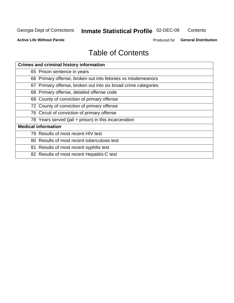## Inmate Statistical Profile 02-DEC-09

Contents

**Active Life Without Parole** 

Produced for General Distribution

## **Table of Contents**

| <b>Crimes and criminal history information</b>                 |
|----------------------------------------------------------------|
| 65 Prison sentence in years                                    |
| 66 Primary offense, broken out into felonies vs misdemeanors   |
| 67 Primary offense, broken out into six broad crime categories |
| 68 Primary offense, detailed offense code                      |
| 69 County of conviction of primary offense                     |
| 72 County of conviction of primary offense                     |
| 76 Circuit of conviction of primary offense                    |
| 78 Years served (jail + prison) in this incarceration          |
| <b>Medical information</b>                                     |
| 79 Results of most recent HIV test                             |
| 80 Results of most recent tuberculosis test                    |
| 81 Results of most recent syphilis test                        |
| 82 Results of most recent Hepatitis-C test                     |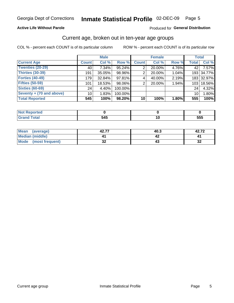### Inmate Statistical Profile 02-DEC-09 Page 5

#### **Active Life Without Parole**

#### Produced for General Distribution

#### Current age, broken out in ten-year age groups

COL % - percent each COUNT is of its particular column

|                          |              | <b>Male</b> |         |                 | <b>Female</b> |          | <b>Total</b>     |            |
|--------------------------|--------------|-------------|---------|-----------------|---------------|----------|------------------|------------|
| <b>Current Age</b>       | <b>Count</b> | Col %       | Row %   | <b>Count</b>    | Col %         | Row %    | <b>Total</b>     | Col %      |
| Twenties (20-29)         | 40           | $7.34\%$    | 95.24%  | 2               | 20.00%        | 4.76%    | 42               | 7.57%      |
| Thirties (30-39)         | 191          | 35.05%      | 98.96%  | 2               | 20.00%        | 1.04%    |                  | 193 34.77% |
| <b>Forties (40-49)</b>   | 179          | $32.84\%$   | 97.81%  | 4               | 40.00%        | 2.19%    |                  | 183 32.97% |
| <b>Fifties (50-59)</b>   | 101          | 18.53%      | 98.06%  | 2               | 20.00%        | 1.94%    | 103 <sub>1</sub> | 18.56%     |
| <b>Sixties (60-69)</b>   | 24           | 4.40%       | 100.00% |                 |               |          | 24               | 4.32%      |
| Seventy + (70 and above) | 10           | 1.83%       | 100.00% |                 |               |          | 10 <sup>1</sup>  | 1.80%      |
| <b>Total Reported</b>    | 545          | 100%        | 98.20%  | 10 <sup>1</sup> | 100%          | $1.80\%$ | 555              | 100%       |

| eported               |     |            |
|-----------------------|-----|------------|
| $rac{1}{2}$<br>______ | 545 | ---<br>ວວວ |

| Mean<br>(average)              | 42.77    | 40.3 | 42.72     |
|--------------------------------|----------|------|-----------|
| Median (middle)                |          |      |           |
| <b>Mode</b><br>(most frequent) | ^^<br>◡▵ |      | n g<br>⊾د |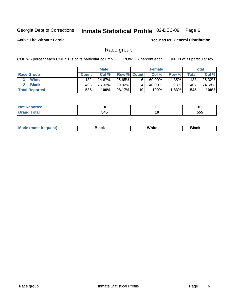#### Inmate Statistical Profile 02-DEC-09 Page 6

**Active Life Without Parole** 

Produced for General Distribution

#### Race group

COL % - percent each COUNT is of its particular column

|                       |              | <b>Male</b> |             |    | <b>Female</b> |       |       | <b>Total</b> |
|-----------------------|--------------|-------------|-------------|----|---------------|-------|-------|--------------|
| <b>Race Group</b>     | <b>Count</b> | Col %       | Row % Count |    | Col %         | Row % | Total | Col %        |
| White                 | 132          | 24.67%      | 95.65%      |    | $60.00\%$     | 4.35% | 138   | 25.32%       |
| <b>Black</b>          | 403          | 75.33%      | 99.02%      |    | 40.00%        | .98%  | 407   | 74.68%       |
| <b>Total Reported</b> | 535          | 100%        | 98.17% l    | 10 | 100%          | 1.83% | 545   | 100%         |

| <b>NOT Reported</b> | . .<br>10 |    | ט ו |
|---------------------|-----------|----|-----|
| $\sim$              | 545       | ١U | 555 |

| M | ------- | White | ------- |
|---|---------|-------|---------|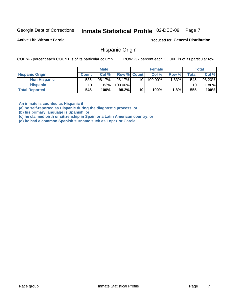#### Inmate Statistical Profile 02-DEC-09 Page 7

**Active Life Without Parole** 

Produced for General Distribution

#### **Hispanic Origin**

COL % - percent each COUNT is of its particular column

ROW % - percent each COUNT is of its particular row

|                        |                 | <b>Male</b> |                    |    | <b>Female</b> |          |       | <b>Total</b> |
|------------------------|-----------------|-------------|--------------------|----|---------------|----------|-------|--------------|
| <b>Hispanic Origin</b> | <b>Count</b>    | Col %       | <b>Row % Count</b> |    | Col %         | Row %    | Total | Col %        |
| <b>Non Hispanic</b>    | 535             | 98.17%      | 98.17%             | 10 | 100.00%       | $1.83\%$ | 545   | 98.20%       |
| <b>Hispanic</b>        | 10 <sub>1</sub> | 1.83%       | 100.00%            |    |               |          | 10    | $.80\%$      |
| <b>Total Reported</b>  | 545             | 100%        | $98.2\%$           | 10 | 100%          | ⊥8% ∣    | 555   | 100%         |

An inmate is counted as Hispanic if

(a) he self-reported as Hispanic during the diagnostic process, or

(b) his primary language is Spanish, or

(c) he claimed birth or citizenship in Spain or a Latin American country, or

(d) he had a common Spanish surname such as Lopez or Garcia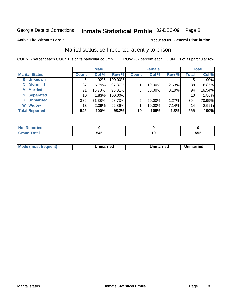#### Inmate Statistical Profile 02-DEC-09 Page 8

**Active Life Without Parole** 

#### Produced for General Distribution

### Marital status, self-reported at entry to prison

COL % - percent each COUNT is of its particular column

|                            | <b>Male</b>     |        |         | <b>Female</b> |        |       | <b>Total</b> |         |
|----------------------------|-----------------|--------|---------|---------------|--------|-------|--------------|---------|
| <b>Marital Status</b>      | <b>Count</b>    | Col %  | Row %   | <b>Count</b>  | Col %  | Row % | <b>Total</b> | Col %   |
| <b>Unknown</b><br>$\bf{0}$ | 5               | .92%   | 100.00% |               |        |       | 5            | $.90\%$ |
| <b>Divorced</b><br>D       | 37              | 6.79%  | 97.37%  |               | 10.00% | 2.63% | 38           | 6.85%   |
| <b>Married</b><br>М        | 91              | 16.70% | 96.81%  | 3             | 30.00% | 3.19% | 94           | 16.94%  |
| <b>Separated</b><br>S      | 10 <sub>1</sub> | 1.83%  | 100.00% |               |        |       | 10           | 1.80%   |
| <b>Unmarried</b><br>U      | 389             | 71.38% | 98.73%  | 5             | 50.00% | 1.27% | 394          | 70.99%  |
| <b>Widow</b><br>W          | 13              | 2.39%  | 92.86%  |               | 10.00% | 7.14% | 14           | 2.52%   |
| <b>Total Reported</b>      | 545             | 100%   | 98.2%   | 10            | 100%   | 1.8%  | 555          | 100%    |

| prtea<br>NOT |     |            |
|--------------|-----|------------|
|              | . Л | EEE<br>ວວວ |

|  | M | . | Unmarried | າmarried<br>______ |
|--|---|---|-----------|--------------------|
|--|---|---|-----------|--------------------|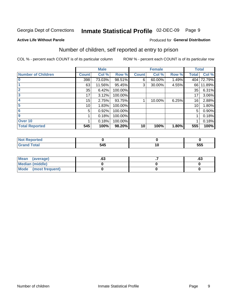#### Inmate Statistical Profile 02-DEC-09 Page 9

#### **Active Life Without Parole**

#### Produced for General Distribution

### Number of children, self reported at entry to prison

COL % - percent each COUNT is of its particular column

|                           |                 | <b>Male</b> |         |              | <b>Female</b> |       |              | <b>Total</b> |
|---------------------------|-----------------|-------------|---------|--------------|---------------|-------|--------------|--------------|
| <b>Number of Children</b> | <b>Count</b>    | Col %       | Row %   | <b>Count</b> | Col %         | Row % | <b>Total</b> | Col %        |
| 10                        | 398             | 73.03%      | 98.51%  | 6            | 60.00%        | 1.49% |              | 404 72.79%   |
|                           | 63              | 11.56%      | 95.45%  | 3            | 30.00%        | 4.55% | 66           | 11.89%       |
| $\overline{2}$            | 35              | 6.42%       | 100.00% |              |               |       | 35           | 6.31%        |
| 3                         | 17              | 3.12%       | 100.00% |              |               |       | 17           | $3.06\%$     |
| 4                         | 15              | 2.75%       | 93.75%  |              | 10.00%        | 6.25% | 16           | 2.88%        |
| 5                         | 10 <sup>1</sup> | 1.83%       | 100.00% |              |               |       | 10           | 1.80%        |
| 6                         | 5               | 0.92%       | 100.00% |              |               |       | 5            | 0.90%        |
| 9                         |                 | 0.18%       | 100.00% |              |               |       |              | 0.18%        |
| Over <sub>10</sub>        |                 | 0.18%       | 100.00% |              |               |       |              | 0.18%        |
| <b>Total Reported</b>     | 545             | 100%        | 98.20%  | 10           | 100%          | 1.80% | 555          | 100%         |

| Reported<br><b>NO</b> t |     |        |     |
|-------------------------|-----|--------|-----|
| <b>otal</b><br>______   | 545 | $\sim$ | 555 |

| Mean (average)       | c۹<br>د | .ია |
|----------------------|---------|-----|
| Median (middle)      |         |     |
| Mode (most frequent) |         |     |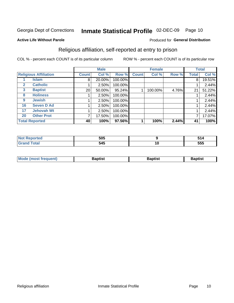#### Inmate Statistical Profile 02-DEC-09 Page 10

Produced for General Distribution

#### **Active Life Without Parole**

### Religious affiliation, self-reported at entry to prison

COL % - percent each COUNT is of its particular column

|              |                              |                 | <b>Male</b> |         |              | <b>Female</b> |       |       | <b>Total</b> |
|--------------|------------------------------|-----------------|-------------|---------|--------------|---------------|-------|-------|--------------|
|              | <b>Religious Affiliation</b> | <b>Count</b>    | Col %       | Row %   | <b>Count</b> | Col %         | Row % | Total | Col %        |
|              | <b>Islam</b>                 | 8               | 20.00%      | 100.00% |              |               |       | 8     | 19.51%       |
| $\mathbf{2}$ | <b>Catholic</b>              |                 | 2.50%       | 100.00% |              |               |       |       | 2.44%        |
| $\mathbf{3}$ | <b>Baptist</b>               | 20 <sub>l</sub> | 50.00%      | 95.24%  |              | 100.00%       | 4.76% | 21    | 51.22%       |
| 8            | <b>Holiness</b>              |                 | 2.50%       | 100.00% |              |               |       |       | 2.44%        |
| 9            | <b>Jewish</b>                |                 | 2.50%       | 100.00% |              |               |       |       | 2.44%        |
| 16           | <b>Seven D Ad</b>            |                 | 2.50%       | 100.00% |              |               |       |       | 2.44%        |
| 17           | <b>Jehovah Wt</b>            |                 | 2.50%       | 100.00% |              |               |       |       | 2.44%        |
| 20           | <b>Other Prot</b>            |                 | 17.50%      | 100.00% |              |               |       |       | 17.07%       |
|              | <b>Total Reported</b>        | 40              | 100%        | 97.56%  |              | 100%          | 2.44% | 41    | 100%         |

| . ted       | 505 |    | 51 1 |
|-------------|-----|----|------|
| $C = 4 - 7$ | 545 | 10 | 555  |

| <b>Mode (most frequent)</b> | laptist | 3aptist | ∖aptist |
|-----------------------------|---------|---------|---------|
|                             |         |         |         |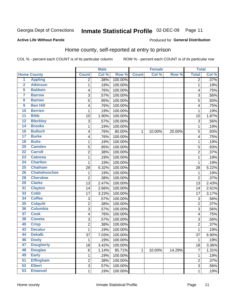#### Inmate Statistical Profile 02-DEC-09 Page 11

#### **Active Life Without Parole**

#### Produced for General Distribution

### Home county, self-reported at entry to prison

COL % - percent each COUNT is of its particular column

|                         |                      |                | <b>Male</b> |         |              | <b>Female</b> |        | <b>Total</b>   |       |
|-------------------------|----------------------|----------------|-------------|---------|--------------|---------------|--------|----------------|-------|
|                         | <b>Home County</b>   | <b>Count</b>   | Col %       | Row %   | <b>Count</b> | Col %         | Row %  | <b>Total</b>   | Col % |
| 1                       | <b>Appling</b>       | 2              | .38%        | 100.00% |              |               |        | 2              | .37%  |
| $\overline{2}$          | <b>Atkinson</b>      | 1              | .19%        | 100.00% |              |               |        | 1              | .19%  |
| 5                       | <b>Baldwin</b>       | 4              | .76%        | 100.00% |              |               |        | 4              | .75%  |
| 7                       | <b>Barrow</b>        | 3              | .57%        | 100.00% |              |               |        | 3              | .56%  |
| $\overline{\mathbf{8}}$ | <b>Bartow</b>        | 5              | .95%        | 100.00% |              |               |        | 5              | .93%  |
| $\overline{9}$          | <b>Ben Hill</b>      | 4              | .76%        | 100.00% |              |               |        | $\overline{4}$ | .75%  |
| 10                      | <b>Berrien</b>       | 1              | .19%        | 100.00% |              |               |        | 1              | .19%  |
| $\overline{11}$         | <b>Bibb</b>          | 10             | 1.90%       | 100.00% |              |               |        | 10             | 1.87% |
| 12                      | <b>Bleckley</b>      | 3              | .57%        | 100.00% |              |               |        | 3              | .56%  |
| 14                      | <b>Brooks</b>        | 1              | .19%        | 100.00% |              |               |        | 1              | .19%  |
| 16                      | <b>Bulloch</b>       | 4              | .76%        | 80.00%  | $\mathbf{1}$ | 10.00%        | 20.00% | 5              | .93%  |
| 17                      | <b>Burke</b>         | 4              | .76%        | 100.00% |              |               |        | $\overline{4}$ | .75%  |
| 18                      | <b>Butts</b>         | 1              | .19%        | 100.00% |              |               |        | 1              | .19%  |
| 20                      | <b>Camden</b>        | 5              | .95%        | 100.00% |              |               |        | 5              | .93%  |
| $\overline{22}$         | <b>Carroll</b>       | $\overline{2}$ | .38%        | 100.00% |              |               |        | $\overline{2}$ | .37%  |
| 23                      | <b>Catoosa</b>       | 1              | .19%        | 100.00% |              |               |        | 1              | .19%  |
| 24                      | <b>Charlton</b>      | $\mathbf{1}$   | .19%        | 100.00% |              |               |        | 1              | .19%  |
| 25                      | <b>Chatham</b>       | 28             | 5.32%       | 100.00% |              |               |        | 28             | 5.22% |
| 26                      | <b>Chattahoochee</b> | 1              | .19%        | 100.00% |              |               |        | 1              | .19%  |
| 28                      | <b>Cherokee</b>      | $\overline{c}$ | .38%        | 100.00% |              |               |        | $\overline{2}$ | .37%  |
| 29                      | <b>Clarke</b>        | 13             | 2.47%       | 100.00% |              |               |        | 13             | 2.43% |
| 31                      | <b>Clayton</b>       | 14             | 2.66%       | 100.00% |              |               |        | 14             | 2.61% |
| 33                      | <b>Cobb</b>          | 17             | 3.23%       | 100.00% |              |               |        | 17             | 3.17% |
| 34                      | <b>Coffee</b>        | 3              | .57%        | 100.00% |              |               |        | 3              | .56%  |
| 35                      | <b>Colquitt</b>      | 2              | .38%        | 100.00% |              |               |        | $\overline{2}$ | .37%  |
| 36                      | <b>Columbia</b>      | 3              | .57%        | 100.00% |              |               |        | 3              | .56%  |
| $\overline{37}$         | <b>Cook</b>          | 4              | .76%        | 100.00% |              |               |        | 4              | .75%  |
| 38                      | <b>Coweta</b>        | $\overline{3}$ | .57%        | 100.00% |              |               |        | 3              | .56%  |
| 40                      | <b>Crisp</b>         | $\overline{2}$ | .38%        | 100.00% |              |               |        | $\overline{2}$ | .37%  |
| 43                      | <b>Decatur</b>       | $\mathbf{1}$   | .19%        | 100.00% |              |               |        | 1              | .19%  |
| 44                      | <b>Dekalb</b>        | 37             | 7.03%       | 100.00% |              |               |        | 37             | 6.90% |
| 46                      | <b>Dooly</b>         | 1              | .19%        | 100.00% |              |               |        | 1              | .19%  |
| 47                      | <b>Dougherty</b>     | 18             | 3.42%       | 100.00% |              |               |        | 18             | 3.36% |
| 48                      | <b>Douglas</b>       | 6              | 1.14%       | 85.71%  | 1            | 10.00%        | 14.29% | 7              | 1.31% |
| 49                      | <b>Early</b>         | $\mathbf 1$    | .19%        | 100.00% |              |               |        | 1              | .19%  |
| 51                      | <b>Effingham</b>     | 2              | .38%        | 100.00% |              |               |        | $\overline{2}$ | .37%  |
| 52                      | <b>Elbert</b>        | 3              | .57%        | 100.00% |              |               |        | 3              | .56%  |
| 53                      | <b>Emanuel</b>       | $\mathbf 1$    | .19%        | 100.00% |              |               |        | 1              | .19%  |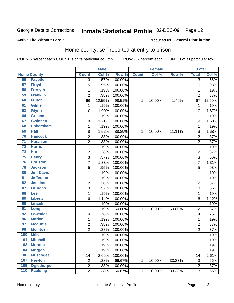#### Inmate Statistical Profile 02-DEC-09 Page 12

#### **Active Life Without Parole**

#### Produced for General Distribution

### Home county, self-reported at entry to prison

COL % - percent each COUNT is of its particular column

|                 |                    |                  | <b>Male</b> |         |              | <b>Female</b> |        | <b>Total</b>            |        |
|-----------------|--------------------|------------------|-------------|---------|--------------|---------------|--------|-------------------------|--------|
|                 | <b>Home County</b> | <b>Count</b>     | Col %       | Row %   | <b>Count</b> | Col %         | Row %  | <b>Total</b>            | Col %  |
| 56              | <b>Fayette</b>     | $\overline{3}$   | .57%        | 100.00% |              |               |        | 3                       | .56%   |
| 57              | <b>Floyd</b>       | 5                | .95%        | 100.00% |              |               |        | 5                       | .93%   |
| 58              | <b>Forsyth</b>     | $\mathbf{1}$     | .19%        | 100.00% |              |               |        | 1                       | .19%   |
| 59              | <b>Franklin</b>    | $\overline{2}$   | .38%        | 100.00% |              |               |        | $\overline{2}$          | .37%   |
| 60              | <b>Fulton</b>      | 66               | 12.55%      | 98.51%  | 1            | 10.00%        | 1.49%  | 67                      | 12.50% |
| 61              | <b>Gilmer</b>      | 1                | .19%        | 100.00% |              |               |        | 1                       | .19%   |
| 63              | <b>Glynn</b>       | 10               | 1.90%       | 100.00% |              |               |        | 10                      | 1.87%  |
| 66              | <b>Greene</b>      | 1                | .19%        | 100.00% |              |               |        | 1                       | .19%   |
| 67              | <b>Gwinnett</b>    | 9                | 1.71%       | 100.00% |              |               |        | 9                       | 1.68%  |
| 68              | <b>Habersham</b>   | $\mathbf{1}$     | .19%        | 100.00% |              |               |        | 1                       | .19%   |
| 69              | <b>Hall</b>        | 8                | 1.52%       | 88.89%  | 1            | 10.00%        | 11.11% | 9                       | 1.68%  |
| 70              | <b>Hancock</b>     | $\boldsymbol{2}$ | .38%        | 100.00% |              |               |        | 2                       | .37%   |
| $\overline{71}$ | <b>Haralson</b>    | $\boldsymbol{2}$ | .38%        | 100.00% |              |               |        | 2                       | .37%   |
| $\overline{72}$ | <b>Harris</b>      | $\mathbf{1}$     | .19%        | 100.00% |              |               |        | 1                       | .19%   |
| 73              | <b>Hart</b>        | $\overline{c}$   | .38%        | 100.00% |              |               |        | $\overline{c}$          | .37%   |
| 75              | <b>Henry</b>       | 3                | .57%        | 100.00% |              |               |        | 3                       | .56%   |
| 76              | <b>Houston</b>     | $\overline{7}$   | 1.33%       | 100.00% |              |               |        | 7                       | 1.31%  |
| 78              | <b>Jackson</b>     | 5                | .95%        | 100.00% |              |               |        | 5                       | .93%   |
| 80              | <b>Jeff Davis</b>  | $\mathbf{1}$     | .19%        | 100.00% |              |               |        | 1                       | .19%   |
| 81              | <b>Jefferson</b>   | $\mathbf{1}$     | .19%        | 100.00% |              |               |        | 1                       | .19%   |
| 82              | <b>Jenkins</b>     | $\boldsymbol{2}$ | .38%        | 100.00% |              |               |        | $\overline{\mathbf{c}}$ | .37%   |
| 87              | <b>Laurens</b>     | 3                | .57%        | 100.00% |              |               |        | 3                       | .56%   |
| 88              | Lee                | $\mathbf{1}$     | .19%        | 100.00% |              |               |        | 1                       | .19%   |
| 89              | <b>Liberty</b>     | 6                | 1.14%       | 100.00% |              |               |        | 6                       | 1.12%  |
| 90              | <b>Lincoln</b>     | 1                | .19%        | 100.00% |              |               |        | 1                       | .19%   |
| 91              | Long               | 1                | .19%        | 50.00%  | 1            | 10.00%        | 50.00% | $\overline{2}$          | .37%   |
| 92              | <b>Lowndes</b>     | 4                | .76%        | 100.00% |              |               |        | 4                       | .75%   |
| 96              | <b>Marion</b>      | $\mathbf{1}$     | .19%        | 100.00% |              |               |        | 1                       | .19%   |
| 97              | <b>Mcduffie</b>    | $\boldsymbol{2}$ | .38%        | 100.00% |              |               |        | $\overline{\mathbf{c}}$ | .37%   |
| 98              | <b>Mcintosh</b>    | $\overline{2}$   | .38%        | 100.00% |              |               |        | $\overline{2}$          | .37%   |
| 100             | <b>Miller</b>      | $\mathbf{1}$     | .19%        | 100.00% |              |               |        | 1                       | .19%   |
| <b>101</b>      | <b>Mitchell</b>    | 1                | .19%        | 100.00% |              |               |        | 1                       | .19%   |
| 102             | <b>Monroe</b>      | $\mathbf{1}$     | .19%        | 100.00% |              |               |        | 1                       | .19%   |
| 104             | <b>Morgan</b>      | $\mathbf{1}$     | .19%        | 100.00% |              |               |        | 1                       | .19%   |
| 106             | <b>Muscogee</b>    | 14               | 2.66%       | 100.00% |              |               |        | 14                      | 2.61%  |
| 107             | <b>Newton</b>      | $\overline{2}$   | .38%        | 66.67%  | 1            | 10.00%        | 33.33% | 3                       | .56%   |
| 109             | <b>Oglethorpe</b>  | $\boldsymbol{2}$ | .38%        | 100.00% |              |               |        | 2                       | .37%   |
| 110             | <b>Paulding</b>    | $\overline{2}$   | .38%        | 66.67%  | $\mathbf 1$  | 10.00%        | 33.33% | 3                       | .56%   |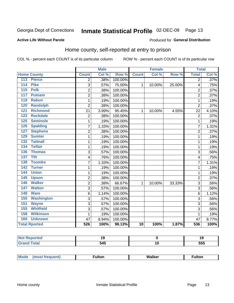#### Inmate Statistical Profile 02-DEC-09 Page 13

#### **Active Life Without Parole**

#### Produced for General Distribution

### Home county, self-reported at entry to prison

COL % - percent each COUNT is of its particular column

|                  |                      |                | <b>Male</b> |         |                 | <b>Female</b> |        | <b>Total</b>   |       |
|------------------|----------------------|----------------|-------------|---------|-----------------|---------------|--------|----------------|-------|
|                  | <b>Home County</b>   | <b>Count</b>   | Col %       | Row %   | <b>Count</b>    | Col %         | Row %  | <b>Total</b>   | Col % |
| 113              | <b>Pierce</b>        | 2              | .38%        | 100.00% |                 |               |        | $\overline{2}$ | .37%  |
| 114              | <b>Pike</b>          | 3              | .57%        | 75.00%  | 1               | 10.00%        | 25.00% | 4              | .75%  |
| $\overline{115}$ | <b>Polk</b>          | $\overline{2}$ | .38%        | 100.00% |                 |               |        | $\overline{c}$ | .37%  |
| 117              | <b>Putnam</b>        | $\overline{2}$ | .38%        | 100.00% |                 |               |        | $\overline{2}$ | .37%  |
| 119              | <b>Rabun</b>         | 1              | .19%        | 100.00% |                 |               |        | 1              | .19%  |
| 120              | <b>Randolph</b>      | $\overline{2}$ | .38%        | 100.00% |                 |               |        | $\overline{2}$ | .37%  |
| 121              | <b>Richmond</b>      | 21             | 3.99%       | 95.45%  | 1               | 10.00%        | 4.55%  | 22             | 4.10% |
| 122              | <b>Rockdale</b>      | $\overline{2}$ | .38%        | 100.00% |                 |               |        | $\overline{2}$ | .37%  |
| 125              | <b>Seminole</b>      | 1              | .19%        | 100.00% |                 |               |        | 1              | .19%  |
| 126              | <b>Spalding</b>      | 7              | 1.33%       | 100.00% |                 |               |        | 7              | 1.31% |
| 127              | <b>Stephens</b>      | 2              | .38%        | 100.00% |                 |               |        | $\overline{2}$ | .37%  |
| 129              | <b>Sumter</b>        | $\mathbf 1$    | .19%        | 100.00% |                 |               |        | 1              | .19%  |
| $\overline{132}$ | <b>Tattnall</b>      | $\mathbf 1$    | .19%        | 100.00% |                 |               |        | 1              | .19%  |
| 134              | <b>Telfair</b>       | 1              | .19%        | 100.00% |                 |               |        | 1              | .19%  |
| 136              | <b>Thomas</b>        | 3              | .57%        | 100.00% |                 |               |        | 3              | .56%  |
| 137              | <b>Tift</b>          | 4              | .76%        | 100.00% |                 |               |        | 4              | .75%  |
| 138              | <b>Toombs</b>        | 7              | 1.33%       | 100.00% |                 |               |        | 7              | 1.31% |
| 142              | <b>Turner</b>        | $\mathbf{1}$   | .19%        | 100.00% |                 |               |        | 1              | .19%  |
| 144              | <b>Union</b>         | $\mathbf{1}$   | .19%        | 100.00% |                 |               |        | 1              | .19%  |
| 145              | <b>Upson</b>         | $\overline{2}$ | .38%        | 100.00% |                 |               |        | $\overline{2}$ | .37%  |
| 146              | <b>Walker</b>        | $\overline{2}$ | .38%        | 66.67%  | 1               | 10.00%        | 33.33% | 3              | .56%  |
| 147              | <b>Walton</b>        | 3              | .57%        | 100.00% |                 |               |        | 3              | .56%  |
| 148              | <b>Ware</b>          | 6              | 1.14%       | 100.00% |                 |               |        | 6              | 1.12% |
| 150              | <b>Washington</b>    | 3              | .57%        | 100.00% |                 |               |        | 3              | .56%  |
| 151              | <b>Wayne</b>         | 3              | .57%        | 100.00% |                 |               |        | 3              | .56%  |
| 155              | <b>Whitfield</b>     | 3              | .57%        | 100.00% |                 |               |        | 3              | .56%  |
| 158              | <b>Wilkinson</b>     | 1              | .19%        | 100.00% |                 |               |        | 1              | .19%  |
| 160              | <b>Unknown</b>       | 47             | 8.94%       | 100.00% |                 |               |        | 47             | 8.77% |
|                  | <b>Total Rported</b> | 526            | 100%        | 98.13%  | $\overline{10}$ | 100%          | 1.87%  | 536            | 100%  |

| portea                                |                          | 7 L<br>10  |
|---------------------------------------|--------------------------|------------|
| المقطا<br>$\sim$ $\sim$ $\sim$ $\sim$ | $-$ 4 $-$<br>ว4ว<br>- -- | ---<br>ວວວ |

| Mode<br>W.<br>i Isav<br>∙ulton<br>- -<br>IW<br>____ |
|-----------------------------------------------------|
|-----------------------------------------------------|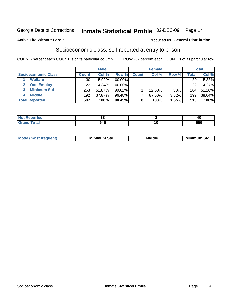### Inmate Statistical Profile 02-DEC-09 Page 14

#### **Active Life Without Parole**

#### Produced for General Distribution

### Socioeconomic class, self-reported at entry to prison

COL % - percent each COUNT is of its particular column

|                       |              | <b>Male</b> |            |              | <b>Female</b> |       |       | <b>Total</b> |
|-----------------------|--------------|-------------|------------|--------------|---------------|-------|-------|--------------|
| Socioeconomic Class   | <b>Count</b> | Col %       | Row %      | <b>Count</b> | Col %         | Row % | Total | Col %        |
| <b>Welfare</b>        | 30           | 5.92%       | 100.00%    |              |               |       | 30    | 5.83%        |
| <b>Occ Employ</b>     | 22           | 4.34%       | $100.00\%$ |              |               |       | 22    | 4.27%        |
| <b>Minimum Std</b>    | 263          | 51.87%      | $99.62\%$  |              | $12.50\%$     | .38%  | 264   | 51.26%       |
| <b>Middle</b>         | 192          | 37.87%      | 96.48%     |              | 87.50%        | 3.52% | 199   | 38.64%       |
| <b>Total Reported</b> | 507          | 100%        | 98.45%     |              | 100%          | 1.55% | 515   | 100%         |

| tea<br> | . .<br>ึงเ |            |
|---------|------------|------------|
|         | - - -      | ---<br>ວວວ |

| ____ |
|------|
|------|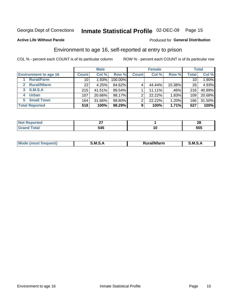### Inmate Statistical Profile 02-DEC-09 Page 15

#### **Active Life Without Parole**

#### **Produced for General Distribution**

### Environment to age 16, self-reported at entry to prison

COL % - percent each COUNT is of its particular column

|                              |                 | <b>Male</b> |           |              | <b>Female</b> |        |              | <b>Total</b> |
|------------------------------|-----------------|-------------|-----------|--------------|---------------|--------|--------------|--------------|
| <b>Environment to age 16</b> | <b>Count</b>    | Col %       | Row %     | <b>Count</b> | Col %         | Row %  | <b>Total</b> | Col %        |
| <b>Rural/Farm</b>            | 10              | 1.93%       | 100.00%   |              |               |        | 10           | 1.90%        |
| <b>Rural/Nfarm</b><br>2      | 22 <sub>1</sub> | 4.25%       | 84.62%    |              | 44.44%        | 15.38% | 26           | 4.93%        |
| S.M.S.A<br>3                 | 215             | 41.51%      | $99.54\%$ |              | 11.11%        | .46%   | 216          | 40.99%       |
| <b>Urban</b>                 | 107             | 20.66%      | 98.17%    | ົ            | 22.22%        | 1.83%  | 109          | 20.68%       |
| <b>Small Town</b><br>5       | 164             | 31.66%      | 98.80%    | ົ            | 22.22%        | 1.20%  | 166          | 31.50%       |
| <b>Total Reported</b>        | 518             | 100%        | 98.29%    | 9            | 100%          | 1.71%  | 527          | 100%         |

| rtea<br><b>NOT</b><br>. Rebo<br>. <b>.</b> | $ -$ |     | . .<br>24 L |
|--------------------------------------------|------|-----|-------------|
| ۰a۱.                                       | 545  | 1 U | ---<br>ວວວ  |

| Mo | M<br>______ | <b>17516</b><br><b>Ifarm</b><br>. | -<br>M<br>_____ |
|----|-------------|-----------------------------------|-----------------|
|    |             |                                   |                 |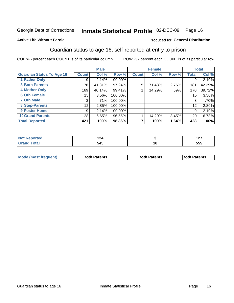## Inmate Statistical Profile 02-DEC-09 Page 16

#### **Active Life Without Parole**

#### Produced for General Distribution

### Guardian status to age 16, self-reported at entry to prison

COL % - percent each COUNT is of its particular column

|                                  |                 | <b>Male</b> |         |              | <b>Female</b> |       |              | <b>Total</b> |
|----------------------------------|-----------------|-------------|---------|--------------|---------------|-------|--------------|--------------|
| <b>Guardian Status To Age 16</b> | <b>Count</b>    | Col %       | Row %   | <b>Count</b> | Col %         | Row % | <b>Total</b> | Col%         |
| 2 Father Only                    | 9               | 2.14%       | 100.00% |              |               |       | 9            | 2.10%        |
| <b>3 Both Parents</b>            | 176             | 41.81%      | 97.24%  | 5            | 71.43%        | 2.76% | 181          | 42.29%       |
| <b>4 Mother Only</b>             | 169             | 40.14%      | 99.41%  |              | 14.29%        | .59%  | 170          | 39.72%       |
| <b>6 Oth Female</b>              | 15              | 3.56%       | 100.00% |              |               |       | 15           | 3.50%        |
| <b>7 Oth Male</b>                | 3               | .71%        | 100.00% |              |               |       | 3            | .70%         |
| 8 Step-Parents                   | 12 <sub>2</sub> | 2.85%       | 100.00% |              |               |       | 12           | 2.80%        |
| 9 Foster Home                    | 9               | 2.14%       | 100.00% |              |               |       | 9            | 2.10%        |
| <b>10 Grand Parents</b>          | 28              | 6.65%       | 96.55%  |              | 14.29%        | 3.45% | 29           | 6.78%        |
| <b>Total Reported</b>            | 421             | 100%        | 98.36%  |              | 100%          | 1.64% | 428          | 100%         |

| ted | .          | ---<br>. |
|-----|------------|----------|
|     | ₹ЛЕ<br>ノーソ | 555      |

| <b>Mode (most frequent)</b> | <b>Both Parents</b> | <b>Both Parents</b> | <b>Both Parents</b> |
|-----------------------------|---------------------|---------------------|---------------------|
|                             |                     |                     |                     |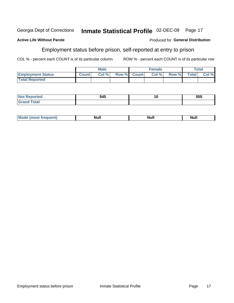#### Inmate Statistical Profile 02-DEC-09 Georgia Dept of Corrections Page 17

#### **Active Life Without Parole**

### Employment status before prison, self-reported at entry to prison

COL % - percent each COUNT is of its particular column

ROW % - percent each COUNT is of its particular row

|                          |              | <b>Male</b> |             | <b>Female</b> |              |              | Total |
|--------------------------|--------------|-------------|-------------|---------------|--------------|--------------|-------|
| <b>Employment Status</b> | <b>Count</b> | Col %       | Row % Count | Col %         | <b>Row %</b> | <b>Total</b> | Col % |
| <b>Total Reported</b>    |              |             |             |               |              |              |       |

| keported<br>N0<br>$\cdots$      | 545 | ้าน | 555 |
|---------------------------------|-----|-----|-----|
| <b>otal</b><br>$\mathbf{v}$ and |     |     |     |

| Null<br>. .<br>. .<br>M.<br>Nui.<br>______ |  |  |
|--------------------------------------------|--|--|
|                                            |  |  |

Produced for General Distribution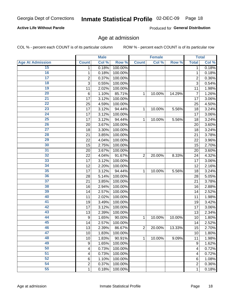## Inmate Statistical Profile 02-DEC-09 Page 18

#### **Active Life Without Parole**

Produced for General Distribution

#### Age at admission

COL % - percent each COUNT is of its particular column

|                         |                         | <b>Male</b> |         |                | <b>Female</b> |        |                  | <b>Total</b> |
|-------------------------|-------------------------|-------------|---------|----------------|---------------|--------|------------------|--------------|
| <b>Age At Admission</b> | <b>Count</b>            | Col %       | Row %   | <b>Count</b>   | Col %         | Row %  | <b>Total</b>     | Col %        |
| 15                      | 1                       | 0.18%       | 100.00% |                |               |        | 1                | 0.18%        |
| 16                      | 1                       | 0.18%       | 100.00% |                |               |        | 1                | 0.18%        |
| $\overline{17}$         | $\overline{c}$          | 0.37%       | 100.00% |                |               |        | $\overline{2}$   | 0.36%        |
| 18                      | 3                       | 0.55%       | 100.00% |                |               |        | 3                | 0.54%        |
| 19                      | 11                      | 2.02%       | 100.00% |                |               |        | 11               | 1.98%        |
| $\overline{20}$         | $6\phantom{1}6$         | 1.10%       | 85.71%  | 1              | 10.00%        | 14.29% | 7                | 1.26%        |
| 21                      | 17                      | 3.12%       | 100.00% |                |               |        | 17               | 3.06%        |
| 22                      | 25                      | 4.59%       | 100.00% |                |               |        | 25               | 4.50%        |
| $\overline{23}$         | 17                      | 3.12%       | 94.44%  | 1              | 10.00%        | 5.56%  | 18               | 3.24%        |
| 24                      | 17                      | 3.12%       | 100.00% |                |               |        | 17               | 3.06%        |
| $\overline{25}$         | 17                      | 3.12%       | 94.44%  | 1              | 10.00%        | 5.56%  | 18               | 3.24%        |
| 26                      | 20                      | 3.67%       | 100.00% |                |               |        | 20               | 3.60%        |
| $\overline{27}$         | 18                      | 3.30%       | 100.00% |                |               |        | 18               | 3.24%        |
| 28                      | 21                      | 3.85%       | 100.00% |                |               |        | 21               | 3.78%        |
| 29                      | 22                      | 4.04%       | 100.00% |                |               |        | 22               | 3.96%        |
| 30                      | 15                      | 2.75%       | 100.00% |                |               |        | 15               | 2.70%        |
| 31                      | 20                      | 3.67%       | 100.00% |                |               |        | 20               | 3.60%        |
| 32                      | 22                      | 4.04%       | 91.67%  | $\overline{2}$ | 20.00%        | 8.33%  | 24               | 4.32%        |
| 33                      | 17                      | 3.12%       | 100.00% |                |               |        | 17               | 3.06%        |
| 34                      | 12                      | 2.20%       | 100.00% |                |               |        | 12               | 2.16%        |
| 35                      | 17                      | 3.12%       | 94.44%  | 1              | 10.00%        | 5.56%  | 18               | 3.24%        |
| 36                      | 28                      | 5.14%       | 100.00% |                |               |        | 28               | 5.05%        |
| $\overline{37}$         | 21                      | 3.85%       | 100.00% |                |               |        | 21               | 3.78%        |
| 38                      | 16                      | 2.94%       | 100.00% |                |               |        | 16               | 2.88%        |
| 39                      | 14                      | 2.57%       | 100.00% |                |               |        | 14               | 2.52%        |
| 40                      | 11                      | 2.02%       | 100.00% |                |               |        | 11               | 1.98%        |
| 41                      | 19                      | 3.49%       | 100.00% |                |               |        | 19               | 3.42%        |
| 42                      | 17                      | 3.12%       | 100.00% |                |               |        | 17               | 3.06%        |
| 43                      | 13                      | 2.39%       | 100.00% |                |               |        | 13               | 2.34%        |
| 44                      | 9                       | 1.65%       | 90.00%  | 1              | 10.00%        | 10.00% | 10               | 1.80%        |
| 45                      | 14                      | 2.57%       | 100.00% |                |               |        | 14               | 2.52%        |
| 46                      | 13                      | 2.39%       | 86.67%  | $\overline{2}$ | 20.00%        | 13.33% | 15               | 2.70%        |
| 47                      | 10                      | 1.83%       | 100.00% |                |               |        | 10               | 1.80%        |
| 48                      | 10                      | 1.83%       | 90.91%  | 1              | 10.00%        | 9.09%  | 11               | 1.98%        |
| 49                      | 9                       | 1.65%       | 100.00% |                |               |        | $\boldsymbol{9}$ | 1.62%        |
| 50                      | 4                       | 0.73%       | 100.00% |                |               |        | 4                | 0.72%        |
| $\overline{51}$         | 4                       | 0.73%       | 100.00% |                |               |        | 4                | 0.72%        |
| 52                      | 6                       | 1.10%       | 100.00% |                |               |        | 6                | 1.08%        |
| 54                      | $\overline{\mathbf{c}}$ | 0.37%       | 100.00% |                |               |        | 2                | 0.36%        |
| 55                      | 1                       | 0.18%       | 100.00% |                |               |        | 1                | 0.18%        |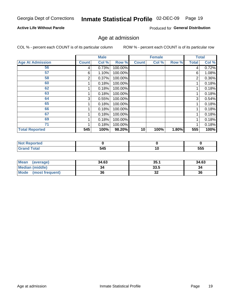## Inmate Statistical Profile 02-DEC-09 Page 19

#### **Active Life Without Parole**

Produced for General Distribution

#### Age at admission

COL % - percent each COUNT is of its particular column

|                         |              | <b>Male</b> |         |              | <b>Female</b> |       |              | <b>Total</b> |
|-------------------------|--------------|-------------|---------|--------------|---------------|-------|--------------|--------------|
| <b>Age At Admission</b> | <b>Count</b> | Col %       | Row %   | <b>Count</b> | Col %         | Row % | <b>Total</b> | Col %        |
| 56                      | 4            | 0.73%       | 100.00% |              |               |       | 4            | 0.72%        |
| 57                      | 6            | 1.10%       | 100.00% |              |               |       | 6            | 1.08%        |
| 58                      | 2            | 0.37%       | 100.00% |              |               |       | 2            | 0.36%        |
| 60                      |              | 0.18%       | 100.00% |              |               |       |              | 0.18%        |
| 62                      |              | 0.18%       | 100.00% |              |               |       |              | 0.18%        |
| 63                      |              | 0.18%       | 100.00% |              |               |       |              | 0.18%        |
| 64                      | 3            | 0.55%       | 100.00% |              |               |       | 3            | 0.54%        |
| 65                      |              | 0.18%       | 100.00% |              |               |       |              | 0.18%        |
| 66                      |              | 0.18%       | 100.00% |              |               |       |              | 0.18%        |
| 67                      |              | 0.18%       | 100.00% |              |               |       |              | 0.18%        |
| 69                      |              | 0.18%       | 100.00% |              |               |       |              | 0.18%        |
| 71                      |              | 0.18%       | 100.00% |              |               |       |              | 0.18%        |
| <b>Total Reported</b>   | 545          | 100%        | 98.20%  | 10           | 100%          | 1.80% | 555          | 100%         |

| τeα   |     |    |     |
|-------|-----|----|-----|
| _____ | 545 | ιv | 555 |

| <b>Mean</b><br>(average)       | 34.63 | 35.1    | 34.63 |
|--------------------------------|-------|---------|-------|
| <b>Median (middle)</b>         |       | 33.5    | 34    |
| <b>Mode</b><br>(most frequent) | 36    | ົ<br>JZ | 36    |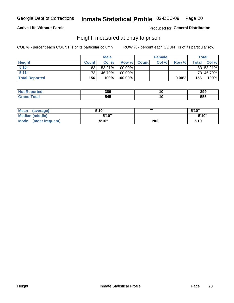### Inmate Statistical Profile 02-DEC-09 Page 20

#### **Active Life Without Parole**

Produced for General Distribution

#### Height, measured at entry to prison

COL % - percent each COUNT is of its particular column

|                       |              | <b>Male</b> |          |             | <b>Female</b> |       |              | Total     |
|-----------------------|--------------|-------------|----------|-------------|---------------|-------|--------------|-----------|
| <b>Height</b>         | <b>Count</b> | Col%        |          | Row % Count | Col %         | Row % | <b>Total</b> | Col %     |
| 5'10''                | 83           | 53.21%      | 100.00%  |             |               |       |              | 83 53.21% |
| 5'11''                | 731          | 46.79%      | 100.00%  |             |               |       |              | 73 46.79% |
| <b>Total Reported</b> | 156          | 100%        | 100.00%】 |             |               | 0.00% | 156          | 100%      |

| <b>Not</b><br>orted<br>enor  | 389 | 399 |
|------------------------------|-----|-----|
| <b>Total</b><br><b>Grand</b> | 545 | 555 |

| <b>Mean</b><br>(average)       | 5'10'' | ,,,         | 5'10"  |
|--------------------------------|--------|-------------|--------|
| <b>Median (middle)</b>         | 5'10"  |             | 5'10'' |
| <b>Mode</b><br>(most frequent) | 5'10"  | <b>Null</b> | 5'10"  |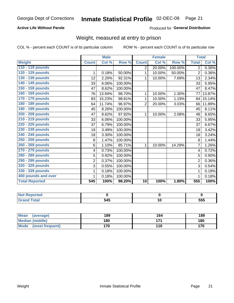### Inmate Statistical Profile 02-DEC-09 Page 21

#### **Active Life Without Parole**

#### Produced for General Distribution

### Weight, measured at entry to prison

COL % - percent each COUNT is of its particular column

|                       |                | <b>Male</b> |         |                | <b>Female</b> |         | <b>Total</b>   |        |
|-----------------------|----------------|-------------|---------|----------------|---------------|---------|----------------|--------|
| <b>Weight</b>         | <b>Count</b>   | Col %       | Row %   | <b>Count</b>   | Col %         | Row %   | <b>Total</b>   | Col %  |
| 110 - 119 pounds      |                |             |         | 2              | 20.00%        | 100.00% | $\overline{2}$ | 0.36%  |
| 120 - 129 pounds      | 1              | 0.18%       | 50.00%  | 1              | 10.00%        | 50.00%  | $\overline{2}$ | 0.36%  |
| 130 - 139 pounds      | 12             | 2.20%       | 92.31%  | 1              | 10.00%        | 7.69%   | 13             | 2.34%  |
| 140 - 149 pounds      | 33             | 6.06%       | 100.00% |                |               |         | 33             | 5.95%  |
| 150 - 159 pounds      | 47             | 8.62%       | 100.00% |                |               |         | 47             | 8.47%  |
| 160 - 169 pounds      | 76             | 13.94%      | 98.70%  | 1              | 10.00%        | 1.30%   | 77             | 13.87% |
| 170 - 179 pounds      | 83             | 15.23%      | 98.81%  | 1              | 10.00%        | 1.19%   | 84             | 15.14% |
| 180 - 189 pounds      | 64             | 11.74%      | 96.97%  | $\overline{2}$ | 20.00%        | 3.03%   | 66             | 11.89% |
| 190 - 199 pounds      | 45             | 8.26%       | 100.00% |                |               |         | 45             | 8.11%  |
| 200 - 209 pounds      | 47             | 8.62%       | 97.92%  | 1              | 10.00%        | 2.08%   | 48             | 8.65%  |
| 210 - 219 pounds      | 33             | 6.06%       | 100.00% |                |               |         | 33             | 5.95%  |
| 220 - 229 pounds      | 37             | 6.79%       | 100.00% |                |               |         | 37             | 6.67%  |
| 230 - 239 pounds      | 19             | 3.49%       | 100.00% |                |               |         | 19             | 3.42%  |
| 240 - 249 pounds      | 18             | 3.30%       | 100.00% |                |               |         | 18             | 3.24%  |
| 250 - 259 pounds      | 8              | 1.47%       | 100.00% |                |               |         | 8              | 1.44%  |
| 260 - 269 pounds      | 6              | 1.10%       | 85.71%  | 1              | 10.00%        | 14.29%  | 7              | 1.26%  |
| 270 - 279 pounds      | 4              | 0.73%       | 100.00% |                |               |         | 4              | 0.72%  |
| 280 - 289 pounds      | 5              | 0.92%       | 100.00% |                |               |         | 5              | 0.90%  |
| 290 - 299 pounds      | $\overline{2}$ | 0.37%       | 100.00% |                |               |         | $\overline{2}$ | 0.36%  |
| 320 - 329 pounds      | 3              | 0.55%       | 100.00% |                |               |         | 3              | 0.54%  |
| 330 - 339 pounds      | 1              | 0.18%       | 100.00% |                |               |         | $\mathbf{1}$   | 0.18%  |
| 400 pounds and over   | 1              | 0.18%       | 100.00% |                |               |         | 1              | 0.18%  |
| <b>Total Reported</b> | 545            | 100%        | 98.20%  | 10             | 100%          | 1.80%   | 555            | 100%   |

| w<br><b>eported</b>        |                      |     |
|----------------------------|----------------------|-----|
| <b>otal</b><br>$- \cdot -$ | <u>r 4 r</u><br>ు4పె | 555 |

| Mean<br>(average)              | 189 | 164 | 189 |
|--------------------------------|-----|-----|-----|
| <b>Median (middle)</b>         | 180 | 474 | 180 |
| <b>Mode</b><br>(most frequent) | 170 | 110 | 170 |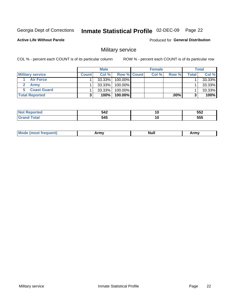#### Inmate Statistical Profile 02-DEC-09 Page 22

**Active Life Without Parole** 

Produced for General Distribution

### Military service

COL % - percent each COUNT is of its particular column

|                         |              | <b>Male</b> |                    | <b>Female</b> |        |        | <b>Total</b> |
|-------------------------|--------------|-------------|--------------------|---------------|--------|--------|--------------|
| <b>Military service</b> | <b>Count</b> | Col%        | <b>Row % Count</b> | Col %         | Row %  | Totall | Col %        |
| <b>Air Force</b>        |              | $33.33\%$   | 100.00%            |               |        |        | 33.33%       |
| <b>Army</b>             |              | $33.33\%$   | 100.00%            |               |        |        | 33.33%       |
| <b>Coast Guard</b>      |              | $33.33\%$   | 100.00%            |               |        |        | 33.33%       |
| <b>Total Reported</b>   |              | 100%        | $100.00\%$         |               | .00% I |        | 100%         |

| 542 | ı | 552 |
|-----|---|-----|
| 545 | ı | 555 |

| <b>Mo</b><br>frequent)<br>יצחותו בור | <b>Army</b> | <b>Null</b> | Army |
|--------------------------------------|-------------|-------------|------|
|                                      |             |             |      |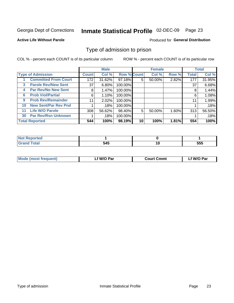#### Inmate Statistical Profile 02-DEC-09 Page 23

#### **Active Life Without Parole**

#### Produced for General Distribution

#### Type of admission to prison

COL % - percent each COUNT is of its particular column

|     |                             |              | <b>Male</b> |                    |    | <b>Female</b> |       |              | <b>Total</b> |
|-----|-----------------------------|--------------|-------------|--------------------|----|---------------|-------|--------------|--------------|
|     | <b>Type of Admission</b>    | <b>Count</b> | Col %       | <b>Row % Count</b> |    | Col %         | Row % | <b>Total</b> | Col %        |
|     | <b>Committed From Court</b> | 172          | 31.62%      | 97.18%             | 5  | 50.00%        | 2.82% | 177          | 31.95%       |
| 3   | <b>Parole Rev/New Sent</b>  | 37           | 6.80%       | 100.00%            |    |               |       | 37           | 6.68%        |
| 4   | <b>Par Rev/No New Sent</b>  | 8            | 1.47%       | 100.00%            |    |               |       | 8            | 1.44%        |
| 6   | <b>Prob Viol/Partial</b>    | 6            | 1.10%       | 100.00%            |    |               |       | 6            | 1.08%        |
| 9   | <b>Prob Rev/Remainder</b>   | 11           | 2.02%       | 100.00%            |    |               |       | 11           | 1.99%        |
| 10  | <b>New Sent/Par Rev Pnd</b> |              | .18%        | 100.00%            |    |               |       |              | .18%         |
| 11. | <b>Life W/O Parole</b>      | 308          | 56.62%      | 98.40%             | 5  | 50.00%        | 1.60% | 313          | 56.50%       |
| 30  | <b>Par Rev/Rsn Unknown</b>  |              | .18%        | 100.00%            |    |               |       |              | .18%         |
|     | <b>Total Reported</b>       | 544          | 100%        | 98.19%             | 10 | 100%          | 1.81% | 554          | 100%         |

| <b>orted</b>       |     |     |
|--------------------|-----|-----|
| <b>Total</b><br>-- | 545 | 555 |

| Mode (most frequent) | f W/O Par. | <b>Court Cmmt</b> | f W/O Par |
|----------------------|------------|-------------------|-----------|
|                      |            |                   |           |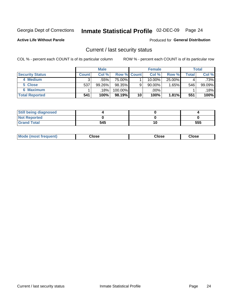## Inmate Statistical Profile 02-DEC-09 Page 24

**Active Life Without Parole** 

Produced for General Distribution

#### Current / last security status

COL % - percent each COUNT is of its particular column

|                        |                | <b>Male</b> |                    |    | <b>Female</b> |          |       | <b>Total</b> |
|------------------------|----------------|-------------|--------------------|----|---------------|----------|-------|--------------|
| <b>Security Status</b> | <b>Count</b> l | Col %       | <b>Row % Count</b> |    | Col %         | Row %    | Total | Col %        |
| 4 Medium               |                | .55%        | 75.00%             |    | 10.00%        | 25.00%   |       | .73%         |
| 5 Close                | 537            | 99.26%      | 98.35%             | 9  | 90.00%        | $1.65\%$ | 546   | 99.09%       |
| 6 Maximum              |                | .18%        | 100.00%            |    | .00%          |          |       | .18%         |
| <b>Total Reported</b>  | 541            | 100%        | 98.19%             | 10 | 100%          | 1.81%    | 551   | 100%         |

| <b>Still being diagnosed</b> |     |     |
|------------------------------|-----|-----|
| <b>Not Reported</b>          |     |     |
| <b>Grand Total</b>           | 545 | 555 |

| Moc<br>rreguent)<br>$\cdots$ | Jlose | Close | Close |
|------------------------------|-------|-------|-------|
|                              |       |       |       |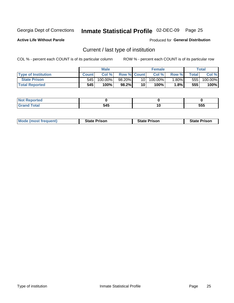#### Inmate Statistical Profile 02-DEC-09 Page 25

**Active Life Without Parole** 

Produced for General Distribution

### Current / last type of institution

COL % - percent each COUNT is of its particular column

|                            |        | <b>Male</b> |                    |      | <b>Female</b> |        |              | <b>Total</b> |
|----------------------------|--------|-------------|--------------------|------|---------------|--------|--------------|--------------|
| <b>Type of Institution</b> | Count. | Col%        | <b>Row % Count</b> |      | Col %         | Row %  | <b>Total</b> | Col %        |
| <b>State Prison</b>        | 545    | $100.00\%$  | 98.20%             | 10 I | $100.00\%$    | .80%   | 555          | 100.00%      |
| <b>Total Reported</b>      | 545    | 100%        | $98.2\%$           | 10   | 100%          | 1.8% l | 555          | 100%         |

| τeα<br>. |       |    |     |
|----------|-------|----|-----|
| $\sim$   | - - - | 11 | --- |
|          | J4J   |    | ວວບ |

| <b>Mode (most frequent)</b> | <b>State Prison</b> | <b>State Prison</b> | <b>State Prison</b> |
|-----------------------------|---------------------|---------------------|---------------------|
|                             |                     |                     |                     |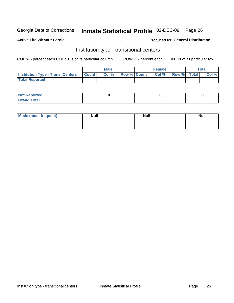#### Inmate Statistical Profile 02-DEC-09 Page 26

**Active Life Without Parole** 

#### Produced for General Distribution

### Institution type - transitional centers

COL % - percent each COUNT is of its particular column

|                                          |              | <b>Male</b> |                    | <b>Female</b> |             | <b>Total</b> |
|------------------------------------------|--------------|-------------|--------------------|---------------|-------------|--------------|
| <b>Institution Type - Trans. Centers</b> | <b>Count</b> | CoI%        | <b>Row % Count</b> | Col %         | Row % Total | Col %        |
| <b>Total Reported</b>                    |              |             |                    |               |             |              |

| <b>Reported</b><br><b>NOT</b>  |  |  |
|--------------------------------|--|--|
| $n+n$<br>C <sub>r</sub><br>--- |  |  |

| Mode (most frequent) | <b>Null</b> | <b>Null</b> | <b>Null</b> |
|----------------------|-------------|-------------|-------------|
|                      |             |             |             |
|                      |             |             |             |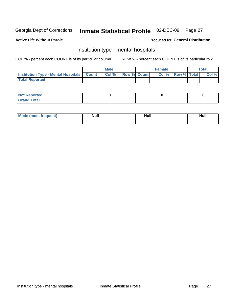#### Inmate Statistical Profile 02-DEC-09 Page 27

#### **Active Life Without Parole**

#### Produced for General Distribution

### Institution type - mental hospitals

COL % - percent each COUNT is of its particular column

|                                                  | Male |                    | <b>Female</b> |                   | <b>Total</b> |
|--------------------------------------------------|------|--------------------|---------------|-------------------|--------------|
| <b>Institution Type - Mental Hospitals Count</b> | Col% | <b>Row % Count</b> |               | Col % Row % Total | Col %        |
| <b>Total Reported</b>                            |      |                    |               |                   |              |

| <b>Not Reported</b>                     |  |  |
|-----------------------------------------|--|--|
| <b>otal</b><br>C <sub>r</sub><br>______ |  |  |

| <b>Mode</b><br>frequent)<br>(most | <b>Null</b> | <b>Null</b> | <b>Null</b><br>_____ |
|-----------------------------------|-------------|-------------|----------------------|
|                                   |             |             |                      |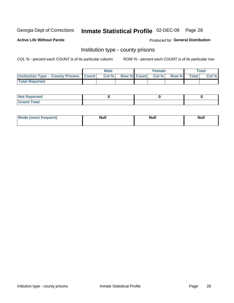## Inmate Statistical Profile 02-DEC-09 Page 28

**Active Life Without Parole** 

Produced for General Distribution

#### Institution type - county prisons

COL % - percent each COUNT is of its particular column

|                                                    | <b>Male</b> |                          | <b>Female</b> |             | <b>Total</b> |
|----------------------------------------------------|-------------|--------------------------|---------------|-------------|--------------|
| <b>Institution Type - County Prisons   Count  </b> | Col %       | <b>Row % Count Col %</b> |               | Row % Total | Col %        |
| <b>Total Reported</b>                              |             |                          |               |             |              |

| <b>Not Reported</b>   |  |  |
|-----------------------|--|--|
| <b>Total</b><br>Granc |  |  |

| <b>Mode</b>      | <b>Null</b> | <b>Null</b> | <b>Null</b> |
|------------------|-------------|-------------|-------------|
| (most freauent). |             |             |             |
|                  |             |             |             |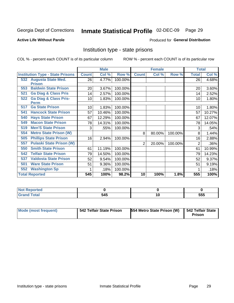#### Inmate Statistical Profile 02-DEC-09 Page 29

#### **Active Life Without Parole**

#### Produced for General Distribution

#### Institution type - state prisons

COL % - percent each COUNT is of its particular column

|     |                                         |              | <b>Male</b> |         |              | <b>Female</b> |         | <b>Total</b> |        |
|-----|-----------------------------------------|--------------|-------------|---------|--------------|---------------|---------|--------------|--------|
|     | <b>Institution Type - State Prisons</b> | <b>Count</b> | Col %       | Row %   | <b>Count</b> | Col %         | Row %   | <b>Total</b> | Col %  |
| 532 | <b>Augusta State Med.</b>               | 26           | 4.77%       | 100.00% |              |               |         | 26           | 4.68%  |
|     | <b>Prison</b>                           |              |             |         |              |               |         |              |        |
| 553 | <b>Baldwin State Prison</b>             | 20           | 3.67%       | 100.00% |              |               |         | 20           | 3.60%  |
| 521 | <b>Ga Diag &amp; Class Pris</b>         | 14           | 2.57%       | 100.00% |              |               |         | 14           | 2.52%  |
| 522 | <b>Ga Diag &amp; Class Pris-</b>        | 10           | 1.83%       | 100.00% |              |               |         | 10           | 1.80%  |
|     | <b>Perm</b>                             |              |             |         |              |               |         |              |        |
| 517 | <b>Ga State Prison</b>                  | 10           | 1.83%       | 100.00% |              |               |         | 10           | 1.80%  |
| 541 | <b>Hancock State Prison</b>             | 57           | 10.46%      | 100.00% |              |               |         | 57           | 10.27% |
| 540 | <b>Hays State Prison</b>                | 67           | 12.29%      | 100.00% |              |               |         | 67           | 12.07% |
| 549 | <b>Macon State Prison</b>               | 78           | 14.31%      | 100.00% |              |               |         | 78           | 14.05% |
| 519 | <b>Men'S State Prison</b>               | 3            | .55%        | 100.00% |              |               |         | 3            | .54%   |
| 554 | <b>Metro State Prison (W)</b>           |              |             |         | 8            | 80.00%        | 100.00% | 8            | 1.44%  |
| 505 | <b>Phillips State Prison</b>            | 16           | 2.94%       | 100.00% |              |               |         | 16           | 2.88%  |
| 557 | <b>Pulaski State Prison (W)</b>         |              |             |         | 2            | 20.00%        | 100.00% | 2            | .36%   |
| 550 | <b>Smith State Prison</b>               | 61           | 11.19%      | 100.00% |              |               |         | 61           | 10.99% |
| 542 | <b>Telfair State Prison</b>             | 79           | 14.50%      | 100.00% |              |               |         | 79           | 14.23% |
| 537 | <b>Valdosta State Prison</b>            | 52           | 9.54%       | 100.00% |              |               |         | 52           | 9.37%  |
| 501 | <b>Ware State Prison</b>                | 51           | 9.36%       | 100.00% |              |               |         | 51           | 9.19%  |
| 552 | <b>Washington Sp</b>                    |              | .18%        | 100.00% |              |               |         |              | .18%   |
|     | <b>Total Reported</b>                   | 545          | 100%        | 98.2%   | 10           | 100%          | 1.8%    | 555          | 100%   |

| Reported    |     |     |
|-------------|-----|-----|
| Total<br>-- | 545 | 555 |

| Mode (most frequent) | 542 Telfair State Prison | 554 Metro State Prison (W)   542 Telfair State | <b>Prison</b> |
|----------------------|--------------------------|------------------------------------------------|---------------|
|----------------------|--------------------------|------------------------------------------------|---------------|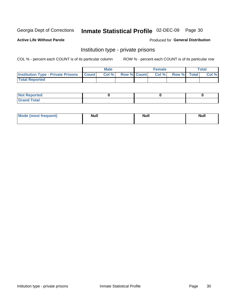## Inmate Statistical Profile 02-DEC-09 Page 30

**Active Life Without Parole** 

Produced for General Distribution

### Institution type - private prisons

COL % - percent each COUNT is of its particular column

|                                                     | <b>Male</b> |                    | <b>Female</b> |             | Total |
|-----------------------------------------------------|-------------|--------------------|---------------|-------------|-------|
| <b>Institution Type - Private Prisons   Count  </b> | Col %       | <b>Row % Count</b> | Col %         | Row % Total | Col % |
| <b>Total Reported</b>                               |             |                    |               |             |       |

| <b>Reported</b><br><b>NOT</b><br>$\sim$            |  |  |
|----------------------------------------------------|--|--|
| $f$ $f \circ f \circ f$<br>$C = 1$<br><b>TULAI</b> |  |  |

| <b>Mod</b> | <b>Null</b> | <b>Null</b> | . .    |
|------------|-------------|-------------|--------|
| "requent)  |             |             | ------ |
|            |             |             |        |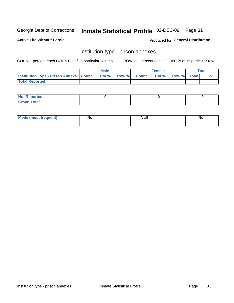## Inmate Statistical Profile 02-DEC-09 Page 31

**Active Life Without Parole** 

Produced for General Distribution

### Institution type - prison annexes

COL % - percent each COUNT is of its particular column

|                                                   | <b>Male</b> |                    | <b>Female</b> |             | <b>Total</b> |
|---------------------------------------------------|-------------|--------------------|---------------|-------------|--------------|
| <b>Institution Type - Prison Annexe   Count  </b> | Col %       | <b>Row % Count</b> | Col %         | Row % Total | Col %        |
| <b>Total Reported</b>                             |             |                    |               |             |              |

| <b>Reported</b><br>I NOT                      |  |  |
|-----------------------------------------------|--|--|
| <b>Total</b><br>Carar<br>$\sim$ . When $\sim$ |  |  |

| <b>Mode</b>     | <b>Null</b> | <b>Null</b> | <b>Null</b> |
|-----------------|-------------|-------------|-------------|
| most frequent). |             |             |             |
|                 |             |             |             |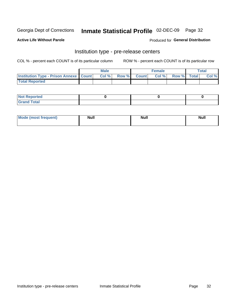### Inmate Statistical Profile 02-DEC-09 Page 32

**Active Life Without Parole** 

Produced for General Distribution

## Institution type - pre-release centers

COL % - percent each COUNT is of its particular column

|                                                   | <b>Male</b> |              |       | <b>Female</b> |                    | <b>Total</b> |
|---------------------------------------------------|-------------|--------------|-------|---------------|--------------------|--------------|
| <b>Institution Type - Prison Annexe   Count  </b> | Col %       | <b>Row %</b> | Count | Col %         | <b>Row %</b> Total | Col %        |
| <b>Total Reported</b>                             |             |              |       |               |                    |              |

| <b>Reported</b><br>I NOT |  |  |
|--------------------------|--|--|
| <b>Total</b><br>$C$ ren  |  |  |

| Mor<br><b>ruent</b> )<br>rea<br>nos | <b>Null</b> | <b>Moll</b><br>_____ | . .<br><b>Null</b> |
|-------------------------------------|-------------|----------------------|--------------------|
|                                     |             |                      |                    |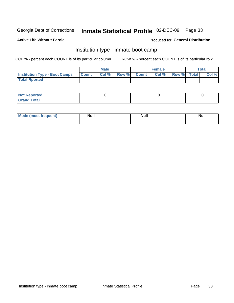#### Inmate Statistical Profile 02-DEC-09 Page 33

#### **Active Life Without Parole**

#### Produced for General Distribution

### Institution type - inmate boot camp

COL % - percent each COUNT is of its particular column

|                                      |              | <b>Male</b> |               |              | <b>Female</b> |             | <b>Total</b> |
|--------------------------------------|--------------|-------------|---------------|--------------|---------------|-------------|--------------|
| <b>Institution Type - Boot Camps</b> | <b>Count</b> | Col %       | <b>Row %I</b> | <b>Count</b> | Col %         | Row % Total | Col %        |
| <b>Total Rported</b>                 |              |             |               |              |               |             |              |

| <b>Not Reported</b> |  |  |
|---------------------|--|--|
| <b>Total</b><br>Cro |  |  |

| <b>AhoM</b>       | <b>Null</b> | <b>Null</b> | Ab d' |
|-------------------|-------------|-------------|-------|
| <b>"requent</b> ) |             |             |       |
|                   |             |             |       |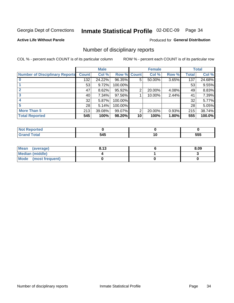#### Inmate Statistical Profile 02-DEC-09 Page 34

**Active Life Without Parole** 

Produced for General Distribution

#### Number of disciplinary reports

COL % - percent each COUNT is of its particular column

|                                       |              | <b>Male</b> |                    |    | <b>Female</b> |       |       | <b>Total</b> |
|---------------------------------------|--------------|-------------|--------------------|----|---------------|-------|-------|--------------|
| <b>Number of Disciplinary Reports</b> | <b>Count</b> | Col %       | <b>Row % Count</b> |    | Col %         | Row % | Total | Col %        |
|                                       | 132          | 24.22%      | 96.35%             | 5  | 50.00%        | 3.65% | 137   | 24.68%       |
|                                       | 53           | 9.72%       | 100.00%            |    |               |       | 53    | 9.55%        |
| 2                                     | 47           | 8.62%       | 95.92%             | 2  | 20.00%        | 4.08% | 49    | 8.83%        |
| 3                                     | 40           | 7.34%       | 97.56%             |    | 10.00%        | 2.44% | 41    | 7.39%        |
|                                       | 32           | 5.87%       | 100.00%            |    |               |       | 32    | 5.77%        |
|                                       | 28           | 5.14%       | 100.00%            |    |               |       | 28    | 5.05%        |
| <b>More Than 5</b>                    | 213          | 39.08%      | 99.07%             | 2  | 20.00%        | 0.93% | 215   | 38.74%       |
| <b>Total Reported</b>                 | 545          | 100%        | 98.20%             | 10 | 100%          | 1.80% | 555   | 100.0%       |

| N               |     |            |
|-----------------|-----|------------|
| $int^{\bullet}$ | 545 | ---<br>uuu |

| Mean (average)       | 8.13 | 8.09 |
|----------------------|------|------|
| Median (middle)      |      |      |
| Mode (most frequent) |      |      |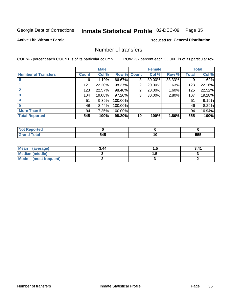## Inmate Statistical Profile 02-DEC-09 Page 35

**Active Life Without Parole** 

**Produced for General Distribution** 

### Number of transfers

COL % - percent each COUNT is of its particular column

|                            |              | <b>Male</b> |             |    | <b>Female</b> |        |              | <b>Total</b> |
|----------------------------|--------------|-------------|-------------|----|---------------|--------|--------------|--------------|
| <b>Number of Transfers</b> | <b>Count</b> | Col %       | Row % Count |    | Col %         | Row %  | <b>Total</b> | Col %        |
|                            | 6            | 1.10%       | 66.67%      | 3  | 30.00%        | 33.33% | 9            | 1.62%        |
|                            | 121          | 22.20%      | 98.37%      | 2  | 20.00%        | 1.63%  | 123          | 22.16%       |
| $\mathbf{2}$               | 123          | 22.57%      | 98.40%      | 2  | 20.00%        | 1.60%  | 125          | 22.52%       |
| 3                          | 104          | 19.08%      | 97.20%      | 3  | 30.00%        | 2.80%  | 107          | 19.28%       |
|                            | 51           | 9.36%       | 100.00%     |    |               |        | 51           | 9.19%        |
| 5                          | 46           | 8.44%       | 100.00%     |    |               |        | 46           | 8.29%        |
| <b>More Than 5</b>         | 94           | 17.25%      | 100.00%     |    |               |        | 94           | 16.94%       |
| <b>Total Reported</b>      | 545          | 100%        | 98.20%      | 10 | 100%          | 1.80%  | 555          | 100%         |

| N<br>тео. |                   |    |            |
|-----------|-------------------|----|------------|
|           | <b>54F</b><br>, , | 10 | ---<br>555 |

| Mean (average)       | 3.44 | .   | 3.41 |
|----------------------|------|-----|------|
| Median (middle)      |      | . . |      |
| Mode (most frequent) |      |     |      |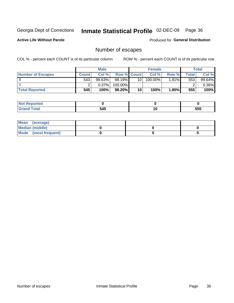## Inmate Statistical Profile 02-DEC-09 Page 36

**Active Life Without Parole** 

**Produced for General Distribution** 

### Number of escapes

COL % - percent each COUNT is of its particular column

|                          |              | <b>Male</b> |                    |                 | <b>Female</b> |          |         | <b>Total</b> |
|--------------------------|--------------|-------------|--------------------|-----------------|---------------|----------|---------|--------------|
| <b>Number of Escapes</b> | <b>Count</b> | Col %       | <b>Row % Count</b> |                 | Col %         | Row %    | Total I | Col %        |
|                          | 543          | $99.63\%$   | 98.19%             | 10 <sub>1</sub> | 100.00%       | $1.81\%$ | 553     | 99.64%       |
|                          |              | $0.37\%$    | 100.00%            |                 |               |          |         | $0.36\%$     |
| <b>Total Reported</b>    | 545          | 100%        | $98.20\%$          | 10              | 100%          | 1.80%    | 555     | 100%         |

| rtea                            |     |    |     |
|---------------------------------|-----|----|-----|
| <b>otal</b><br>$\mathsf{v}$ and | 545 | יי | 555 |

| Mean (average)       |  |  |
|----------------------|--|--|
| Median (middle)      |  |  |
| Mode (most frequent) |  |  |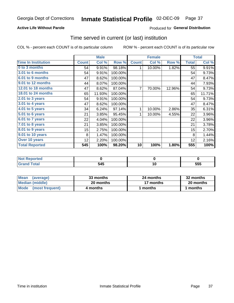### **Active Life Without Parole**

### Produced for General Distribution

## Time served in current (or last) institution

COL % - percent each COUNT is of its particular column

|                            |              | <b>Male</b> |         |              | <b>Female</b> |        |              | <b>Total</b> |
|----------------------------|--------------|-------------|---------|--------------|---------------|--------|--------------|--------------|
| <b>Time In Institution</b> | <b>Count</b> | Col %       | Row %   | <b>Count</b> | Col %         | Row %  | <b>Total</b> | Col %        |
| 0 to 3 months              | 54           | 9.91%       | 98.18%  | 1            | 10.00%        | 1.82%  | 55           | 9.91%        |
| <b>3.01 to 6 months</b>    | 54           | 9.91%       | 100.00% |              |               |        | 54           | 9.73%        |
| 6.01 to 9 months           | 47           | 8.62%       | 100.00% |              |               |        | 47           | 8.47%        |
| 9.01 to 12 months          | 44           | 8.07%       | 100.00% |              |               |        | 44           | 7.93%        |
| 12.01 to 18 months         | 47           | 8.62%       | 87.04%  | 7            | 70.00%        | 12.96% | 54           | 9.73%        |
| 18.01 to 24 months         | 65           | 11.93%      | 100.00% |              |               |        | 65           | 11.71%       |
| $2.01$ to 3 years          | 54           | 9.91%       | 100.00% |              |               |        | 54           | 9.73%        |
| 3.01 to 4 years            | 47           | 8.62%       | 100.00% |              |               |        | 47           | 8.47%        |
| 4.01 to 5 years            | 34           | 6.24%       | 97.14%  | 1            | 10.00%        | 2.86%  | 35           | 6.31%        |
| 5.01 to 6 years            | 21           | 3.85%       | 95.45%  | 1            | 10.00%        | 4.55%  | 22           | 3.96%        |
| 6.01 to 7 years            | 22           | 4.04%       | 100.00% |              |               |        | 22           | 3.96%        |
| 7.01 to 8 years            | 21           | 3.85%       | 100.00% |              |               |        | 21           | 3.78%        |
| 8.01 to 9 years            | 15           | 2.75%       | 100.00% |              |               |        | 15           | 2.70%        |
| 9.01 to 10 years           | 8            | 1.47%       | 100.00% |              |               |        | 8            | 1.44%        |
| Over 10 years              | 12           | 2.20%       | 100.00% |              |               |        | 12           | 2.16%        |
| <b>Total Reported</b>      | 545          | 100%        | 98.20%  | 10           | 100%          | 1.80%  | 555          | 100%         |

| Reported<br><b>NOT</b> |     |            |
|------------------------|-----|------------|
| <i>i</i> otal          | 545 | ---<br>555 |

| <b>Mean</b><br>(average) | 33 months | 24 months | 32 months |
|--------------------------|-----------|-----------|-----------|
| Median (middle)          | 20 months | 17 months | 20 months |
| Mode (most frequent)     | 4 months  | 1 months  | 1 months  |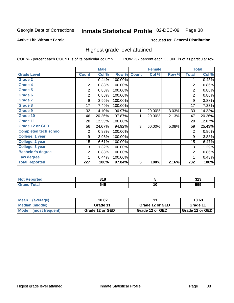#### Inmate Statistical Profile 02-DEC-09 Page 38

**Active Life Without Parole** 

Produced for General Distribution

## Highest grade level attained

COL % - percent each COUNT is of its particular column

|                              |              | <b>Male</b> |         |                         | <b>Female</b> |       |                | <b>Total</b> |
|------------------------------|--------------|-------------|---------|-------------------------|---------------|-------|----------------|--------------|
| <b>Grade Level</b>           | <b>Count</b> | Col %       | Row %   | <b>Count</b>            | Col %         | Row % | <b>Total</b>   | Col %        |
| <b>Grade 2</b>               | 1            | 0.44%       | 100.00% |                         |               |       | 1              | 0.43%        |
| <b>Grade 4</b>               | 2            | 0.88%       | 100.00% |                         |               |       | $\overline{2}$ | 0.86%        |
| Grade 5                      | 2            | 0.88%       | 100.00% |                         |               |       | $\overline{2}$ | 0.86%        |
| Grade 6                      | 2            | 0.88%       | 100.00% |                         |               |       | $\overline{2}$ | 0.86%        |
| <b>Grade 7</b>               | 9            | 3.96%       | 100.00% |                         |               |       | 9              | 3.88%        |
| <b>Grade 8</b>               | 17           | 7.49%       | 100.00% |                         |               |       | 17             | 7.33%        |
| <b>Grade 9</b>               | 32           | 14.10%      | 96.97%  | 1                       | 20.00%        | 3.03% | 33             | 14.22%       |
| Grade 10                     | 46           | 20.26%      | 97.87%  | 1                       | 20.00%        | 2.13% | 47             | 20.26%       |
| Grade 11                     | 28           | 12.33%      | 100.00% |                         |               |       | 28             | 12.07%       |
| <b>Grade 12 or GED</b>       | 56           | 24.67%      | 94.92%  | 3                       | 60.00%        | 5.08% | 59             | 25.43%       |
| <b>Completed tech school</b> | 2            | 0.88%       | 100.00% |                         |               |       | $\overline{2}$ | 0.86%        |
| College, 1 year              | 9            | 3.96%       | 100.00% |                         |               |       | 9              | 3.88%        |
| College, 2 year              | 15           | 6.61%       | 100.00% |                         |               |       | 15             | 6.47%        |
| College, 3 year              | 3            | 1.32%       | 100.00% |                         |               |       | 3              | 1.29%        |
| <b>Bachelor's degree</b>     | 2            | 0.88%       | 100.00% |                         |               |       | 2              | 0.86%        |
| Law degree                   |              | 0.44%       | 100.00% |                         |               |       | 1              | 0.43%        |
| <b>Total Reported</b>        | 227          | 100%        | 97.84%  | $\overline{\mathbf{5}}$ | 100%          | 2.16% | 232            | 100%         |

| vreo   | ິ້<br>. .<br>$ -$ |        | ົ<br>ິ     |
|--------|-------------------|--------|------------|
| ______ | 54F<br>ידי<br>$-$ | $\sim$ | ---<br>JJJ |

| <b>Mean</b><br>(average) | 10.62           |                 | 10.63           |
|--------------------------|-----------------|-----------------|-----------------|
| Median (middle)          | Grade 11        | Grade 12 or GED | Grade 11        |
| Mode<br>(most frequent)  | Grade 12 or GED | Grade 12 or GED | Grade 12 or GED |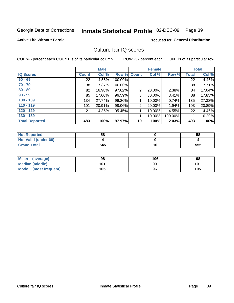#### Inmate Statistical Profile 02-DEC-09 Page 39

#### **Active Life Without Parole**

### Produced for General Distribution

## Culture fair IQ scores

COL % - percent each COUNT is of its particular column

|                       |              | <b>Male</b> |                    |                 | <b>Female</b> |          |              | <b>Total</b> |
|-----------------------|--------------|-------------|--------------------|-----------------|---------------|----------|--------------|--------------|
| <b>IQ Scores</b>      | <b>Count</b> | Col %       | <b>Row % Count</b> |                 | Col %         | Row %    | <b>Total</b> | Col %        |
| $60 - 69$             | 22           | 4.55%       | 100.00%            |                 |               |          | 22           | 4.46%        |
| $70 - 79$             | 38           | 7.87%       | 100.00%            |                 |               |          | 38           | 7.71%        |
| $80 - 89$             | 82           | 16.98%      | 97.62%             | $\overline{2}$  | 20.00%        | 2.38%    | 84           | 17.04%       |
| $90 - 99$             | 85           | 17.60%      | 96.59%             | 3               | 30.00%        | $3.41\%$ | 88           | 17.85%       |
| $100 - 109$           | 134          | 27.74%      | 99.26%             |                 | 10.00%        | 0.74%    | 135          | 27.38%       |
| $110 - 119$           | 101          | 20.91%      | 98.06%             | $\overline{2}$  | 20.00%        | $1.94\%$ | 103          | 20.89%       |
| $120 - 129$           | 21           | 4.35%       | 95.45%             | 1               | 10.00%        | 4.55%    | 22           | 4.46%        |
| $130 - 139$           |              |             |                    | 4               | 10.00%        | 100.00%  |              | 0.20%        |
| <b>Total Reported</b> | 483          | 100%        | 97.97%             | 10 <sup>1</sup> | 100%          | 2.03%    | 493          | 100%         |

| <b>Not Reported</b>  | 58  |    | 58  |
|----------------------|-----|----|-----|
| Not Valid (under 60) |     |    |     |
| <b>Grand Total</b>   | 545 | 10 | 555 |

| Mean<br>(average)              | 98  | 106 | 98  |
|--------------------------------|-----|-----|-----|
| <b>Median (middle)</b>         | 101 | 99  | 101 |
| <b>Mode</b><br>(most frequent) | 105 | 96  | 105 |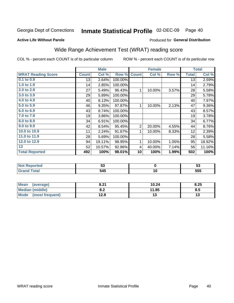# Inmate Statistical Profile 02-DEC-09 Page 40

Produced for General Distribution

#### **Active Life Without Parole**

## Wide Range Achievement Test (WRAT) reading score

COL % - percent each COUNT is of its particular column

|                           |              | <b>Male</b> |         |                | <b>Female</b> |       |              | <b>Total</b> |
|---------------------------|--------------|-------------|---------|----------------|---------------|-------|--------------|--------------|
| <b>WRAT Reading Score</b> | <b>Count</b> | Col %       | Row %   | <b>Count</b>   | Col %         | Row % | <b>Total</b> | Col %        |
| 0.1 to 0.9                | 13           | 2.64%       | 100.00% |                |               |       | 13           | 2.59%        |
| 1.0 to 1.9                | 14           | 2.85%       | 100.00% |                |               |       | 14           | 2.79%        |
| 2.0 to 2.9                | 27           | 5.49%       | 96.43%  | 1              | 10.00%        | 3.57% | 28           | 5.58%        |
| 3.0 to 3.9                | 29           | 5.89%       | 100.00% |                |               |       | 29           | 5.78%        |
| 4.0 to 4.9                | 40           | 8.13%       | 100.00% |                |               |       | 40           | 7.97%        |
| 5.0 to 5.9                | 46           | 9.35%       | 97.87%  | 1              | 10.00%        | 2.13% | 47           | 9.36%        |
| 6.0 to 6.9                | 43           | 8.74%       | 100.00% |                |               |       | 43           | 8.57%        |
| 7.0 to 7.9                | 19           | 3.86%       | 100.00% |                |               |       | 19           | 3.78%        |
| 8.0 to 8.9                | 34           | 6.91%       | 100.00% |                |               |       | 34           | 6.77%        |
| 9.0 to 9.9                | 42           | 8.54%       | 95.45%  | $\overline{2}$ | 20.00%        | 4.55% | 44           | 8.76%        |
| 10.0 to 10.9              | 11           | 2.24%       | 91.67%  | 1              | 10.00%        | 8.33% | 12           | 2.39%        |
| 11.0 to 11.9              | 28           | 5.69%       | 100.00% |                |               |       | 28           | 5.58%        |
| 12.0 to 12.9              | 94           | 19.11%      | 98.95%  | 1              | 10.00%        | 1.05% | 95           | 18.92%       |
| 13                        | 52           | 10.57%      | 92.86%  | 4              | 40.00%        | 7.14% | 56           | 11.16%       |
| <b>Total Reported</b>     | 492          | 100%        | 98.01%  | 10             | 100%          | 1.99% | 502          | 100%         |
|                           |              |             |         |                |               |       |              |              |
| <b>Not Reported</b>       |              | 53          |         |                | $\mathbf 0$   |       |              | 53           |
| <b>Grand Total</b>        |              | 545         |         |                | 10            |       |              | 555          |

| Mean<br>(average)      | 8.21       | 10.24 | 8.25 |
|------------------------|------------|-------|------|
| <b>Median (middle)</b> | י ה<br>0.Z | 11.85 | 8.5  |
| Mode (most frequent)   | 12.8       | 10    | IJ   |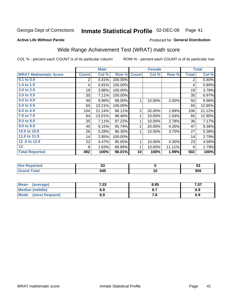#### Inmate Statistical Profile 02-DEC-09 Page 41

Produced for General Distribution

#### **Active Life Without Parole**

## Wide Range Achievement Test (WRAT) math score

COL % - percent each COUNT is of its particular column

ROW % - percent each COUNT is of its particular row

 $\overline{10}$ 

|                              |                | <b>Male</b> |         |                | <b>Female</b> |        |                | <b>Total</b> |
|------------------------------|----------------|-------------|---------|----------------|---------------|--------|----------------|--------------|
| <b>WRAT Mathematic Score</b> | <b>Count</b>   | Col %       | Row %   | <b>Count</b>   | Col %         | Row %  | <b>Total</b>   | Col %        |
| 0.1 to 0.9                   | $\overline{2}$ | 0.41%       | 100.00% |                |               |        | $\overline{2}$ | 0.40%        |
| 1.0 to 1.9                   | 4              | 0.81%       | 100.00% |                |               |        | 4              | 0.80%        |
| 2.0 to 2.9                   | 19             | 3.86%       | 100.00% |                |               |        | 19             | 3.78%        |
| 3.0 to 3.9                   | 35             | 7.11%       | 100.00% |                |               |        | 35             | 6.97%        |
| 4.0 to 4.9                   | 49             | 9.96%       | 98.00%  | 1              | 10.00%        | 2.00%  | 50             | 9.96%        |
| 5.0 to 5.9                   | 65             | 13.21%      | 100.00% |                |               |        | 65             | 12.95%       |
| 6.0 to 6.9                   | 104            | 21.14%      | 98.11%  | $\overline{2}$ | 20.00%        | 1.89%  | 106            | 21.12%       |
| 7.0 to 7.9                   | 64             | 13.01%      | 98.46%  | 1              | 10.00%        | 1.54%  | 65             | 12.95%       |
| 8.0 to 8.9                   | 35             | 7.11%       | 97.22%  | 1              | 10.00%        | 2.78%  | 36             | 7.17%        |
| 9.0 to 9.9                   | 45             | 9.15%       | 95.74%  | $\overline{2}$ | 20.00%        | 4.26%  | 47             | $9.36\%$     |
| 10.0 to 10.9                 | 26             | 5.28%       | 96.30%  | 1              | 10.00%        | 3.70%  | 27             | 5.38%        |
| 11.0 to 11.9                 | 14             | 2.85%       | 100.00% |                |               |        | 14             | 2.79%        |
| 12.0 to 12.9                 | 22             | 4.47%       | 95.65%  | 1              | 10.00%        | 4.35%  | 23             | 4.58%        |
| 13                           | 8              | 1.63%       | 88.89%  | 1              | 10.00%        | 11.11% | 9              | 1.79%        |
| <b>Total Reported</b>        | 492            | 100%        | 98.01%  | 10             | 100%          | 1.99%  | 502            | 100%         |
|                              |                |             |         |                |               |        |                |              |
| <b>Not Reported</b>          |                | 53          |         |                | $\mathbf 0$   |        |                | 53           |

| <b>Mean</b><br>(average)       | 7.03 | 8.85 | 7.07 |
|--------------------------------|------|------|------|
| <b>Median (middle)</b>         | 6.9  |      | 6.9  |
| <b>Mode</b><br>(most frequent) | 6.9  | . с  | ০.৮  |

 $545$ 

**Grand Total** 

 $\overline{555}$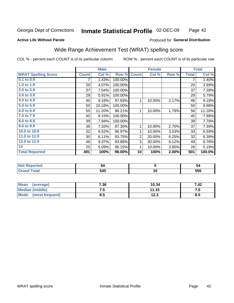#### Inmate Statistical Profile 02-DEC-09 Page 42

### **Active Life Without Parole**

#### Produced for General Distribution

## Wide Range Achievement Test (WRAT) spelling score

COL % - percent each COUNT is of its particular column

|                            |              | <b>Male</b> |         |                | <b>Female</b>   |       |              | <b>Total</b> |
|----------------------------|--------------|-------------|---------|----------------|-----------------|-------|--------------|--------------|
| <b>WRAT Spelling Score</b> | <b>Count</b> | Col %       | Row %   | <b>Count</b>   | Col %           | Row % | <b>Total</b> | Col %        |
| 0.1 to 0.9                 | 7            | 1.43%       | 100.00% |                |                 |       | 7            | 1.40%        |
| 1.0 to 1.9                 | 20           | 4.07%       | 100.00% |                |                 |       | 20           | 3.99%        |
| 2.0 to 2.9                 | 37           | 7.54%       | 100.00% |                |                 |       | 37           | 7.39%        |
| 3.0 to 3.9                 | 29           | 5.91%       | 100.00% |                |                 |       | 29           | 5.79%        |
| 4.0 to 4.9                 | 45           | 9.16%       | 97.83%  | 1              | 10.00%          | 2.17% | 46           | 9.18%        |
| 5.0 t0 5.9                 | 50           | 10.18%      | 100.00% |                |                 |       | 50           | 9.98%        |
| 6.0 to 6.9                 | 55           | 11.20%      | 98.21%  | 1              | 10.00%          | 1.79% | 56           | 11.18%       |
| 7.0 to 7.9                 | 40           | 8.15%       | 100.00% |                |                 |       | 40           | 7.98%        |
| 8.0 to 8.9                 | 39           | 7.94%       | 100.00% |                |                 |       | 39           | 7.78%        |
| 9.0 to 9.9                 | 36           | 7.33%       | 97.30%  | 1              | 10.00%          | 2.70% | 37           | 7.39%        |
| 10.0 to 10.9               | 32           | 6.52%       | 96.97%  | 1              | 10.00%          | 3.03% | 33           | 6.59%        |
| 11.0 to 11.9               | 30           | 6.11%       | 93.75%  | $\overline{2}$ | 20.00%          | 6.25% | 32           | 6.39%        |
| 12.0 to 12.9               | 46           | 9.37%       | 93.88%  | 3              | 30.00%          | 6.12% | 49           | 9.78%        |
| 13                         | 25           | 5.09%       | 96.15%  | 1              | 10.00%          | 3.85% | 26           | 5.19%        |
| <b>Total Reported</b>      | 491          | 100%        | 98.00%  | 10             | 100%            | 2.00% | 501          | 100.0%       |
|                            |              |             |         |                |                 |       |              |              |
| <b>Not Reported</b>        |              | 54          |         |                | $\mathbf 0$     |       |              | 54           |
| <b>Grand Total</b>         |              | 545         |         |                | $\overline{10}$ |       |              | 555          |

| <b>Mean</b><br>(average)       | 7.36 | 10.34         | 7.42 |
|--------------------------------|------|---------------|------|
| <b>Median (middle)</b>         | ں. ا | 11.15         | ن. ا |
| <b>Mode</b><br>(most frequent) | 0.J  | 1つ ?<br>1 Z.J | ၓ.Ე  |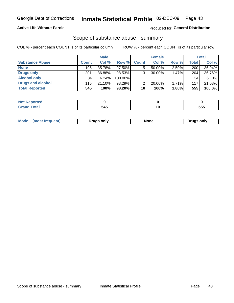### **Active Life Without Parole**

### Produced for General Distribution

### Scope of substance abuse - summary

COL % - percent each COUNT is of its particular column

|                        |              | <b>Male</b> |         |              | <b>Female</b> |          |              | <b>Total</b> |
|------------------------|--------------|-------------|---------|--------------|---------------|----------|--------------|--------------|
| <b>Substance Abuse</b> | <b>Count</b> | Col %       | Row %   | <b>Count</b> | Col %         | Row %    | <b>Total</b> | Col %        |
| <b>None</b>            | 195          | 35.78%      | 97.50%  | 5            | $50.00\%$     | 2.50%    | 200          | 36.04%       |
| <b>Drugs only</b>      | 201          | 36.88%      | 98.53%  |              | 30.00%        | 1.47%    | 204          | 36.76%       |
| <b>Alcohol only</b>    | 34           | 6.24%       | 100.00% |              |               |          | 34           | 6.13%        |
| Drugs and alcohol      | 115          | $21.10\%$   | 98.29%  |              | 20.00%        | $1.71\%$ | 117          | 21.08%       |
| <b>Total Reported</b>  | 545          | 100%        | 98.20%  | 10           | 100%          | 1.80%    | 555          | $100.0\%$    |

| Reported     |     |            |
|--------------|-----|------------|
| <b>Total</b> | 545 | ccc<br>ວວະ |

|  | Mode | Truas only | MOP⊆ | only<br>∴2Γ <sup>.</sup> |
|--|------|------------|------|--------------------------|
|--|------|------------|------|--------------------------|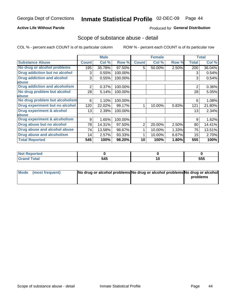### **Active Life Without Parole**

### Produced for General Distribution

## Scope of substance abuse - detail

COL % - percent each COUNT is of its particular column

|                                      |                 | <b>Male</b> |         |              | <b>Female</b> |       |                | <b>Total</b> |
|--------------------------------------|-----------------|-------------|---------|--------------|---------------|-------|----------------|--------------|
| <b>Substance Abuse</b>               | <b>Count</b>    | Col %       | Row %   | <b>Count</b> | Col %         | Row % | Total          | Col %        |
| No drug or alcohol problems          | 195             | 35.78%      | 97.50%  | 5            | 50.00%        | 2.50% | 200            | 36.04%       |
| Drug addiction but no alcohol        | 3               | 0.55%       | 100.00% |              |               |       | 3              | 0.54%        |
| <b>Drug addiction and alcohol</b>    | 3               | 0.55%       | 100.00% |              |               |       | 3              | 0.54%        |
| abuse                                |                 |             |         |              |               |       |                |              |
| <b>Drug addiction and alcoholism</b> | 2               | 0.37%       | 100.00% |              |               |       | $\overline{2}$ | 0.36%        |
| No drug problem but alcohol          | 28              | 5.14%       | 100.00% |              |               |       | 28             | 5.05%        |
| abuse                                |                 |             |         |              |               |       |                |              |
| No drug problem but alcoholism       | 6               | 1.10%       | 100.00% |              |               |       | 6              | 1.08%        |
| Drug experiment but no alcohol       | 120             | 22.02%      | 99.17%  |              | 10.00%        | 0.83% | 121            | 21.80%       |
| <b>Drug experiment &amp; alcohol</b> | 13 <sup>1</sup> | 2.39%       | 100.00% |              |               |       | 13             | 2.34%        |
| abuse                                |                 |             |         |              |               |       |                |              |
| Drug experiment & alcoholism         | 9               | 1.65%       | 100.00% |              |               |       | 9              | 1.62%        |
| Drug abuse but no alcohol            | 78              | 14.31%      | 97.50%  | 2            | 20.00%        | 2.50% | 80             | 14.41%       |
| Drug abuse and alcohol abuse         | 74              | 13.58%      | 98.67%  |              | 10.00%        | 1.33% | 75             | 13.51%       |
| <b>Drug abuse and alcoholism</b>     | 14              | 2.57%       | 93.33%  |              | 10.00%        | 6.67% | 15             | 2.70%        |
| <b>Total Reported</b>                | 545             | 100%        | 98.20%  | 10           | 100%          | 1.80% | 555            | 100%         |

| rtea  |     |    |     |
|-------|-----|----|-----|
| _____ | 545 | יי | 555 |

| Mode (most frequent) | No drug or alcohol problems No drug or alcohol problems No drug or alcohol |          |
|----------------------|----------------------------------------------------------------------------|----------|
|                      |                                                                            | problems |
|                      |                                                                            |          |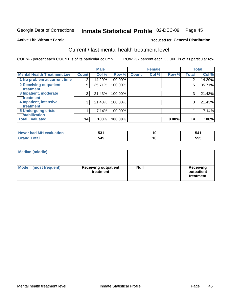#### Inmate Statistical Profile 02-DEC-09 Page 45

#### **Active Life Without Parole**

#### **Produced for General Distribution**

## Current / last mental health treatment level

COL % - percent each COUNT is of its particular column

|                                             |                | <b>Male</b> |         |              | <b>Female</b> |       |              | <b>Total</b> |
|---------------------------------------------|----------------|-------------|---------|--------------|---------------|-------|--------------|--------------|
| <b>Mental Health Treatment Lev</b>          | <b>Count</b>   | Col %       | Row %   | <b>Count</b> | Col %         | Row % | <b>Total</b> | Col %        |
| 1 No problem at current time                | $\overline{2}$ | 14.29%      | 100.00% |              |               |       | 2            | 14.29%       |
| 2 Receiving outpatient<br><b>Treatment</b>  | 5              | 35.71%      | 100.00% |              |               |       | 5            | 35.71%       |
| 3 Inpatient, moderate<br><b>Treatment</b>   | 3              | 21.43%      | 100.00% |              |               |       | 3            | 21.43%       |
| 4 Inpatient, intensive<br><b>Treatment</b>  | 3              | 21.43%      | 100.00% |              |               |       | 3            | 21.43%       |
| 5 Undergoing crisis<br><b>stabilization</b> |                | 7.14%       | 100.00% |              |               |       |              | 7.14%        |
| <b>Total Evaluated</b>                      | 14             | 100%        | 100.00% |              |               | 0.00% | 14           | 100%         |

| uation<br>Aval<br>. MF<br><b>NAVAL</b><br>nar | につイ<br>" | ١U | 54'        |
|-----------------------------------------------|----------|----|------------|
|                                               | 545      | ١U | ドドド<br>ນບພ |

| <b>Median (middle)</b>         |                                          |             |                                             |
|--------------------------------|------------------------------------------|-------------|---------------------------------------------|
| <b>Mode</b><br>(most frequent) | <b>Receiving outpatient</b><br>treatment | <b>Null</b> | <b>Receiving</b><br>outpatient<br>treatment |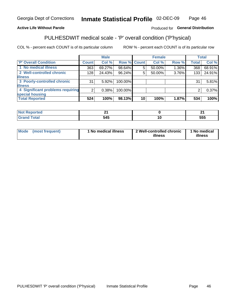#### Inmate Statistical Profile 02-DEC-09 Page 46

### **Active Life Without Parole**

### Produced for General Distribution

## PULHESDWIT medical scale - 'P' overall condition ('P'hysical)

COL % - percent each COUNT is of its particular column

|                                  |         | <b>Male</b> |         |                 | <b>Female</b> |       |              | <b>Total</b> |
|----------------------------------|---------|-------------|---------|-----------------|---------------|-------|--------------|--------------|
| 'P' Overall Condition            | Count l | Col %       |         | Row % Count     | Col %         | Row % | <b>Total</b> | Col %        |
| 1 No medical illness             | 363     | 69.27%      | 98.64%  | 5               | 50.00%        | 1.36% | 368          | 68.91%       |
| 2 Well-controlled chronic        | 128     | 24.43%      | 96.24%  | 5               | 50.00%        | 3.76% | 133          | 24.91%       |
| <b>illness</b>                   |         |             |         |                 |               |       |              |              |
| 3 Poorly-controlled chronic      | 31      | $5.92\%$    | 100.00% |                 |               |       | 31           | 5.81%        |
| <b>illness</b>                   |         |             |         |                 |               |       |              |              |
| 4 Significant problems requiring | 2       | 0.38%       | 100.00% |                 |               |       | 2            | 0.37%        |
| special housing                  |         |             |         |                 |               |       |              |              |
| <b>Total Reported</b>            | 524     | 100%        | 98.13%  | 10 <sup>1</sup> | 100%          | 1.87% | 534          | 100%         |

| --    | . .          |   | . .<br>-- |
|-------|--------------|---|-----------|
| _____ | - - -<br>5Л! | _ | 555       |

| <b>Mode</b> | (most frequent) | 1 No medical illness | 2 Well-controlled chronic<br>illness | 1 No medical<br>illness |
|-------------|-----------------|----------------------|--------------------------------------|-------------------------|
|-------------|-----------------|----------------------|--------------------------------------|-------------------------|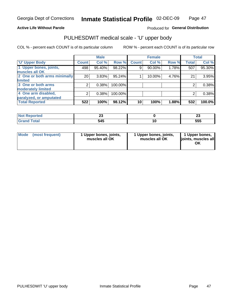#### **Active Life Without Parole**

### Produced for General Distribution

# PULHESDWIT medical scale - 'U' upper body

COL % - percent each COUNT is of its particular column

|                              |                | <b>Male</b> |           |              | <b>Female</b> |       |              | <b>Total</b> |
|------------------------------|----------------|-------------|-----------|--------------|---------------|-------|--------------|--------------|
| <b>'U' Upper Body</b>        | <b>Count</b>   | Col %       | Row %     | <b>Count</b> | Col %         | Row % | <b>Total</b> | Col %        |
| 1 Upper bones, joints,       | 498            | 95.40%      | 98.22%    | 9            | 90.00%        | 1.78% | 507          | 95.30%       |
| muscles all OK               |                |             |           |              |               |       |              |              |
| 2 One or both arms minimally | 20             | 3.83%       | $95.24\%$ |              | 10.00%        | 4.76% | 21           | 3.95%        |
| limited                      |                |             |           |              |               |       |              |              |
| 3 One or both arms           | $\overline{2}$ | 0.38%       | 100.00%   |              |               |       | 2            | 0.38%        |
| <b>moderately limited</b>    |                |             |           |              |               |       |              |              |
| 4 One arm disabled,          | 2              | 0.38%       | 100.00%   |              |               |       | 2            | 0.38%        |
| paralyzed, or amputated      |                |             |           |              |               |       |              |              |
| <b>Total Reported</b>        | 522            | 100%        | 98.12%    | 10           | 100%          | 1.88% | 532          | 100.0%       |

| <b>Not Reported</b>      | --  |   | n.<br>$\sim$ |
|--------------------------|-----|---|--------------|
| <b>Total</b><br>ا الله ا | 545 | w | 555          |

| Mode | (most frequent) | 1 Upper bones, joints,<br>muscles all OK | 1 Upper bones, joints,<br>muscles all OK | 1 Upper bones,<br>ljoints, muscles all<br>OK |
|------|-----------------|------------------------------------------|------------------------------------------|----------------------------------------------|
|------|-----------------|------------------------------------------|------------------------------------------|----------------------------------------------|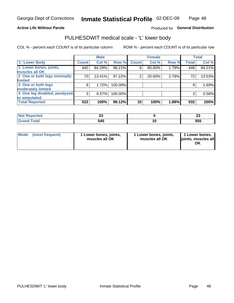### **Active Life Without Parole**

### Produced for General Distribution

## PULHESDWIT medical scale - 'L' lower body

COL % - percent each COUNT is of its particular column

|                                |              | <b>Male</b> |         |              | <b>Female</b> |       |              | <b>Total</b> |
|--------------------------------|--------------|-------------|---------|--------------|---------------|-------|--------------|--------------|
| 'L' Lower Body                 | <b>Count</b> | Col %       | Row %   | <b>Count</b> | Col %         | Row % | <b>Total</b> | Col %        |
| 1 Lower bones, joints,         | 440          | 84.29%      | 98.21%  | 8            | 80.00%        | 1.79% | 448          | 84.21%       |
| muscles all OK                 |              |             |         |              |               |       |              |              |
| 2 One or both legs minimally   | 70           | 13.41%      | 97.22%  | 2            | 20.00%        | 2.78% | 72           | 13.53%       |
| limited                        |              |             |         |              |               |       |              |              |
| 3 One or both legs             | 9            | 1.72%       | 100.00% |              |               |       | 9            | 1.69%        |
| moderately limited             |              |             |         |              |               |       |              |              |
| 4 One leg disabled, paralyzed, | 3            | 0.57%       | 100.00% |              |               |       | 3            | 0.56%        |
| or amputated                   |              |             |         |              |               |       |              |              |
| <b>Total Reported</b>          | 522          | 100%        | 98.12%  | 10           | 100%          | 1.88% | 532          | 100%         |

| ∩rteα⊤<br>NOT<br>. <b>.</b> | __  | $\ddot{\phantom{0}}$<br>~ |
|-----------------------------|-----|---------------------------|
|                             | 545 | 555                       |

| Mode | (most frequent) | 1 Lower bones, joints,<br>muscles all OK | 1 Lower bones, joints,<br>muscles all OK | 1 Lower bones,<br>ljoints, muscles all<br>OK |
|------|-----------------|------------------------------------------|------------------------------------------|----------------------------------------------|
|------|-----------------|------------------------------------------|------------------------------------------|----------------------------------------------|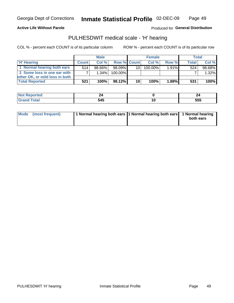**Active Life Without Parole** 

Inmate Statistical Profile 02-DEC-09 Page 49

Produced for General Distribution

## PULHESDWIT medical scale - 'H' hearing

COL % - percent each COUNT is of its particular column

|                                |              | <b>Male</b> |                    |                 | <b>Female</b> |          | Total        |        |
|--------------------------------|--------------|-------------|--------------------|-----------------|---------------|----------|--------------|--------|
| <b>H' Hearing</b>              | <b>Count</b> | Col%        | <b>Row % Count</b> |                 | Col%          | Row %    | <b>Total</b> | Col %  |
| 1 Normal hearing both ears     | 514          | 98.66%      | 98.09%             | 10 I            | $100.00\%$    | 1.91%    | 524          | 98.68% |
| 2 Some loss in one ear with    |              | 1.34%       | 100.00%            |                 |               |          |              | 1.32%  |
| other OK, or mild loss in both |              |             |                    |                 |               |          |              |        |
| <b>Total Reported</b>          | 521          | 100%        | 98.12%             | 10 <sup>1</sup> | 100%          | $1.88\%$ | 531          | 100%   |

|        |                    | - -        |
|--------|--------------------|------------|
| ______ | - - -<br>. .<br>г. | EEE<br>ວວວ |

| Mode (most frequent) | 1 Normal hearing both ears 1 Normal hearing both ears 1 Normal hearing | both ears |
|----------------------|------------------------------------------------------------------------|-----------|
|                      |                                                                        |           |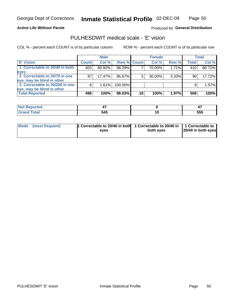#### **Active Life Without Parole**

### Produced for General Distribution

## PULHESDWIT medical scale - 'E' vision

COL % - percent each COUNT is of its particular column

|                                |              | <b>Male</b> |             |    | <b>Female</b> |          |       | Total  |
|--------------------------------|--------------|-------------|-------------|----|---------------|----------|-------|--------|
| 'E' Vision                     | <b>Count</b> | Col %       | Row % Count |    | Col%          | Row %    | Total | Col %  |
| 1 Correctable to 20/40 in both | 403          | 80.92%      | 98.29%      |    | 70.00%        | 1.71%    | 410   | 80.71% |
| eyes                           |              |             |             |    |               |          |       |        |
| 2 Correctable to 20/70 in one  | 87           | 17.47%      | 96.67%      | 3  | 30.00%        | $3.33\%$ | 90    | 17.72% |
| eye, may be blind in other     |              |             |             |    |               |          |       |        |
| 3 Correctable to 20/200 in one |              | 1.61%       | 100.00%     |    |               |          | 8     | 1.57%  |
| eye, may be blind in other     |              |             |             |    |               |          |       |        |
| <b>Total Reported</b>          | 498          | 100%        | 98.03%      | 10 | 100%          | 1.97%    | 508   | 100%   |

| rtea<br>тепо |     |     | 4.          |
|--------------|-----|-----|-------------|
|              | 545 | 1 Y | ---<br>່ວວບ |

| Mode | (most frequent) | 1 Correctable to 20/40 in both | 1 Correctable to 20/40 in   1 Correctable to |                    |
|------|-----------------|--------------------------------|----------------------------------------------|--------------------|
|      |                 | eves                           | both eves                                    | 20/40 in both eyes |
|      |                 |                                |                                              |                    |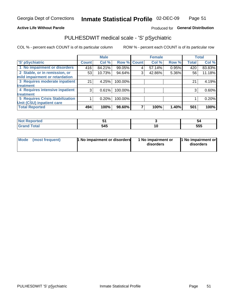#### **Active Life Without Parole**

### Produced for General Distribution

## PULHESDWIT medical scale - 'S' pSychiatric

COL % - percent each COUNT is of its particular column

|                                                                 |              | <b>Male</b> |                    |   | <b>Female</b> |       |              | <b>Total</b> |
|-----------------------------------------------------------------|--------------|-------------|--------------------|---|---------------|-------|--------------|--------------|
| 'S' pSychiatric                                                 | <b>Count</b> | Col %       | <b>Row % Count</b> |   | Col %         | Row % | <b>Total</b> | Col %        |
| 1 No impairment or disorders                                    | 416          | 84.21%      | 99.05%             | 4 | 57.14%        | 0.95% | 420          | 83.83%       |
| 2 Stable, or in remission, or<br>mild impairment or retardation | 53           | 10.73%      | 94.64%             | 3 | 42.86%        | 5.36% | 56           | 11.18%       |
| 3 Requires moderate inpatient                                   | 21           | 4.25%       | 100.00%            |   |               |       | 21           | 4.19%        |
| treatment                                                       |              |             |                    |   |               |       |              |              |
| 4 Requires intensive inpatient                                  | 3            | 0.61%       | 100.00%            |   |               |       | 3            | 0.60%        |
| treatment                                                       |              |             |                    |   |               |       |              |              |
| <b>5 Requires Crisis Stabilization</b>                          |              | 0.20%       | 100.00%            |   |               |       |              | 0.20%        |
| Unit (CSU) inpatient care                                       |              |             |                    |   |               |       |              |              |
| <b>Total Reported</b>                                           | 494          | 100%        | 98.60%             |   | 100%          | 1.40% | 501          | 100%         |

| <b>orted</b> |     |    | 54  |
|--------------|-----|----|-----|
| <b>Total</b> | 545 | 10 | 555 |

| Mode<br>1 No impairment or disorders<br>(most frequent) | 1 No impairment or<br>disorders | 1 No impairment or<br>disorders |
|---------------------------------------------------------|---------------------------------|---------------------------------|
|---------------------------------------------------------|---------------------------------|---------------------------------|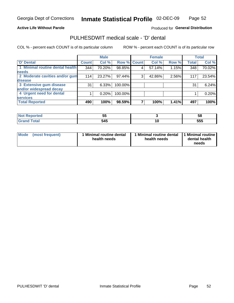### **Active Life Without Parole**

### Produced for General Distribution

## PULHESDWIT medical scale - 'D' dental

COL % - percent each COUNT is of its particular column

|                                 |              | <b>Male</b> |             |   | <b>Female</b> |       |              | <b>Total</b> |
|---------------------------------|--------------|-------------|-------------|---|---------------|-------|--------------|--------------|
| 'D' Dental                      | <b>Count</b> | Col %       | Row % Count |   | Col %         | Row % | <b>Total</b> | Col %        |
| 1 Minimal routine dental health | 344          | 70.20%      | 98.85%      |   | 57.14%        | 1.15% | 348          | 70.02%       |
| <b>needs</b>                    |              |             |             |   |               |       |              |              |
| 2 Moderate cavities and/or gum  | 114          | 23.27%      | 97.44%      | 3 | 42.86%        | 2.56% | 117          | 23.54%       |
| disease                         |              |             |             |   |               |       |              |              |
| 3 Extensive gum disease         | 31           | 6.33%       | 100.00%     |   |               |       | 31           | 6.24%        |
| and/or widespread decay         |              |             |             |   |               |       |              |              |
| 4 Urgent need for dental        |              | 0.20%       | 100.00%     |   |               |       |              | 0.20%        |
| <b>services</b>                 |              |             |             |   |               |       |              |              |
| <b>Total Reported</b>           | 490          | 100%        | 98.59%      |   | 100%          | 1.41% | 497          | 100%         |

| prτea<br>NOT RADO<br>$\sim$ . The set of $\sim$ | --<br>$\sim$<br>ึ |     | ວເ  |
|-------------------------------------------------|-------------------|-----|-----|
| Total                                           | 545               | ט ו | 555 |

| <b>Mode</b> | (most frequent) | <b>Minimal routine dental</b><br>health needs | 1 Minimal routine dental<br>health needs | 11 Minimal routine<br>dental health<br>needs |
|-------------|-----------------|-----------------------------------------------|------------------------------------------|----------------------------------------------|
|-------------|-----------------|-----------------------------------------------|------------------------------------------|----------------------------------------------|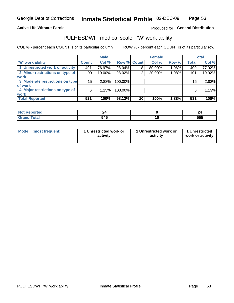#### **Active Life Without Parole**

### Produced for General Distribution

# PULHESDWIT medical scale - 'W' work ability

COL % - percent each COUNT is of its particular column

|                                 |              | <b>Male</b> |                    |    | <b>Female</b> |       |              | Total  |
|---------------------------------|--------------|-------------|--------------------|----|---------------|-------|--------------|--------|
| <b>W' work ability</b>          | <b>Count</b> | Col %       | <b>Row % Count</b> |    | Col %         | Row % | <b>Total</b> | Col %  |
| 1 Unrestricted work or activity | 401          | 76.97%      | 98.04%             | 8  | 80.00%        | 1.96% | 409          | 77.02% |
| 2 Minor restrictions on type of | 99           | 19.00%      | 98.02%             | റ  | 20.00%        | 1.98% | 101          | 19.02% |
| <b>work</b>                     |              |             |                    |    |               |       |              |        |
| 3 Moderate restrictions on type | 15           | 2.88%       | 100.00%            |    |               |       | 15           | 2.82%  |
| of work                         |              |             |                    |    |               |       |              |        |
| 4 Major restrictions on type of | 6            | 1.15%       | 100.00%            |    |               |       | 6            | 1.13%  |
| <b>work</b>                     |              |             |                    |    |               |       |              |        |
| <b>Total Reported</b>           | 521          | 100%        | 98.12%             | 10 | 100%          | 1.88% | 531          | 100%   |

|             | -            |         | --         |
|-------------|--------------|---------|------------|
| $\sim$ 0000 | - - -<br>J4J | <u></u> | ---<br>JJJ |

| Mode            | 1 Unrestricted work or | 1 Unrestricted work or | 1 Unrestricted   |
|-----------------|------------------------|------------------------|------------------|
| (most frequent) | activity               | activity               | work or activity |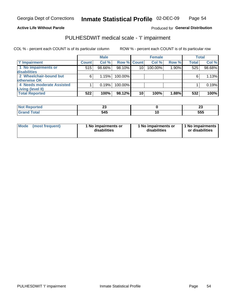#### **Active Life Without Parole**

Produced for General Distribution

## PULHESDWIT medical scale - 'I' impairment

COL % - percent each COUNT is of its particular column ROW % - percent each COUNT is of its particular row

|                                     |              | <b>Male</b> |                    |    | <b>Female</b> |       |              | <b>Total</b> |
|-------------------------------------|--------------|-------------|--------------------|----|---------------|-------|--------------|--------------|
| <b>T' Impairment</b>                | <b>Count</b> | Col %       | <b>Row % Count</b> |    | Col %         | Row % | <b>Total</b> | Col %        |
| 1 No impairments or<br>disabilities | 515          | 98.66%      | 98.10%             | 10 | 100.00%       | 1.90% | 525          | 98.68%       |
| 2 Wheelchair-bound but              | 6            | 1.15%       | $100.00\%$         |    |               |       | 6            | 1.13%        |
| otherwise OK                        |              |             |                    |    |               |       |              |              |
| 4 Needs moderate Assisted           |              | 0.19%       | 100.00%            |    |               |       |              | 0.19%        |
| Living (level II)                   |              |             |                    |    |               |       |              |              |
| <b>Total Reported</b>               | 522          | 100%        | 98.12%             | 10 | 100%          | 1.88% | 532          | 100%         |

| orted        | $\sim$ |    | $\sim$ |
|--------------|--------|----|--------|
| N            | ~      |    | ∠J     |
| <b>Total</b> | 545    | IО | 555    |

| <b>Mode</b>     | 1 No impairments or | 1 No impairments or | 1 No impairments |
|-----------------|---------------------|---------------------|------------------|
| (most frequent) | disabilities        | disabilities        | or disabilities  |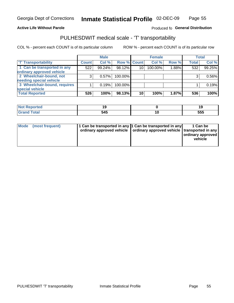#### **Active Life Without Parole**

### Produced fo General Distribution

## PULHESDWIT medical scale - 'T' transportability

COL % - percent each COUNT is of its particular column

|                              |              | <b>Male</b> |             |    | <b>Female</b> |       |              | <b>Total</b> |
|------------------------------|--------------|-------------|-------------|----|---------------|-------|--------------|--------------|
| <b>T' Transportability</b>   | <b>Count</b> | Col %       | Row % Count |    | Col %         | Row % | <b>Total</b> | Col %        |
| 1 Can be transported in any  | 522          | 99.24%      | 98.12%      | 10 | 100.00%       | 1.88% | 532          | 99.25%       |
| ordinary approved vehicle    |              |             |             |    |               |       |              |              |
| 2 Wheelchair-bound, not      |              | 0.57%       | 100.00%     |    |               |       |              | 0.56%        |
| needing special vehicle      |              |             |             |    |               |       |              |              |
| 3 Wheelchair-bound, requires |              | 0.19%       | 100.00%     |    |               |       |              | 0.19%        |
| special vehicle              |              |             |             |    |               |       |              |              |
| <b>Total Reported</b>        | 526          | 100%        | 98.13%      | 10 | 100%          | 1.87% | 536          | 100%         |

| <b>Reported</b> | ı.           |    | . . |
|-----------------|--------------|----|-----|
|                 | - - -<br>545 | ч. | 555 |

| Mode (most frequent) | 1 Can be transported in any 1 Can be transported in any | ordinary approved vehicle   ordinary approved vehicle   transported in any | 1 Can be<br>ordinary approved<br>vehicle |
|----------------------|---------------------------------------------------------|----------------------------------------------------------------------------|------------------------------------------|
|                      |                                                         |                                                                            |                                          |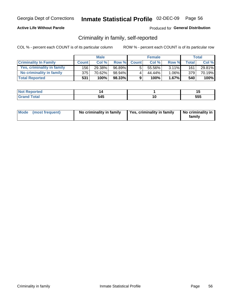### **Active Life Without Parole**

### Produced for General Distribution

## Criminality in family, self-reported

COL % - percent each COUNT is of its particular column

|                              |              | <b>Male</b> |        |              | <b>Female</b> |          |       | Total  |
|------------------------------|--------------|-------------|--------|--------------|---------------|----------|-------|--------|
| <b>Criminality In Family</b> | <b>Count</b> | Col %       | Row %  | <b>Count</b> | Col %         | Row %    | Total | Col %  |
| Yes, criminality in family   | 156 l        | 29.38%      | 96.89% | 5            | 55.56%        | $3.11\%$ | 161   | 29.81% |
| No criminality in family     | 375          | 70.62%      | 98.94% | 4            | 44.44%        | $1.06\%$ | 379   | 70.19% |
| <b>Total Reported</b>        | 531          | 100%        | 98.33% | 9            | 100%          | $1.67\%$ | 540   | 100%   |

| المنتقب بالتعبين<br>≺eported<br><b>NOT</b> |     | . . |
|--------------------------------------------|-----|-----|
| <b>otal</b>                                | 545 | 555 |

|  | Mode (most frequent) | No criminality in family | Yes, criminality in family | No criminality in<br>family |
|--|----------------------|--------------------------|----------------------------|-----------------------------|
|--|----------------------|--------------------------|----------------------------|-----------------------------|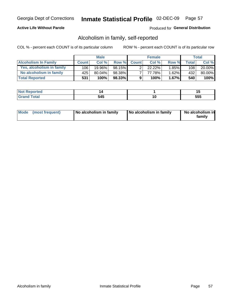### **Active Life Without Parole**

### Produced for General Distribution

## Alcoholism in family, self-reported

COL % - percent each COUNT is of its particular column

|                             |              | <b>Male</b> |        |              | <b>Female</b> |          |                    | Total  |
|-----------------------------|--------------|-------------|--------|--------------|---------------|----------|--------------------|--------|
| <b>Alcoholism In Family</b> | <b>Count</b> | Col%        | Row %  | <b>Count</b> | Col%          | Row %    | Total <sub>I</sub> | Col %  |
| Yes, alcoholism in family   | 106          | 19.96%      | 98.15% |              | $22.22\%$     | $1.85\%$ | 108                | 20.00% |
| No alcoholism in family     | 425          | 80.04%      | 98.38% |              | 77.78%        | $1.62\%$ | 432                | 80.00% |
| <b>Total Reported</b>       | 531          | 100%        | 98.33% | 9            | 100%          | $1.67\%$ | 540                | 100%   |

| المنتشر بالتعبير<br>≺eported<br><b>NOT</b> |     |    | . . |
|--------------------------------------------|-----|----|-----|
| <b>otal</b>                                | 545 | ιv | 555 |

|  | Mode (most frequent) | No alcoholism in family | No alcoholism in family | No alcoholism in<br>family |
|--|----------------------|-------------------------|-------------------------|----------------------------|
|--|----------------------|-------------------------|-------------------------|----------------------------|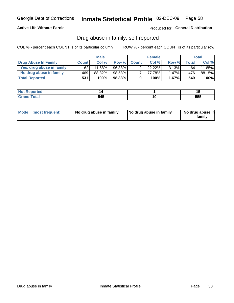### **Active Life Without Parole**

Produced for General Distribution

## Drug abuse in family, self-reported

COL % - percent each COUNT is of its particular column

|                           |              | <b>Male</b> |        |                | <b>Female</b> |          |              | Total   |
|---------------------------|--------------|-------------|--------|----------------|---------------|----------|--------------|---------|
| Drug Abuse In Family      | <b>Count</b> | Col %       | Row %  | <b>Count</b>   | Col%          | Row %    | <b>Total</b> | Col %   |
| Yes, drug abuse in family | 62           | 11.68%      | 96.88% | ◠              | 22.22%        | $3.13\%$ | 64           | 11.85%  |
| No drug abuse in family   | 469          | 88.32%      | 98.53% | $\overline{ }$ | 77.78%        | $1.47\%$ | 476          | 88.15%  |
| <b>Total Reported</b>     | 531          | 100%        | 98.33% | 9              | 100%          | $1.67\%$ | 540          | $100\%$ |

| المنتقب بالتعبين<br>≺eported<br><b>NOT</b> |     | . . |
|--------------------------------------------|-----|-----|
| <b>otal</b>                                | 545 | 555 |

|  | Mode (most frequent) | No drug abuse in family | No drug abuse in family | No drug abuse in<br>family |
|--|----------------------|-------------------------|-------------------------|----------------------------|
|--|----------------------|-------------------------|-------------------------|----------------------------|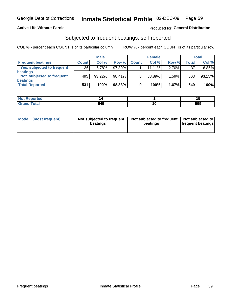### **Active Life Without Parole**

### Produced for General Distribution

## Subjected to frequent beatings, self-reported

COL % - percent each COUNT is of its particular column

|                                   |              | <b>Male</b> |        |              | <b>Female</b> |       |              | Total  |
|-----------------------------------|--------------|-------------|--------|--------------|---------------|-------|--------------|--------|
| <b>Frequent beatings</b>          | <b>Count</b> | Col %       | Row %  | <b>Count</b> | Col %         | Row % | <b>Total</b> | Col %  |
| <b>Yes, subjected to frequent</b> | 36           | 6.78%       | 97.30% |              | $11.11\%$     | 2.70% | 37           | 6.85%  |
| beatings                          |              |             |        |              |               |       |              |        |
| Not subjected to frequent         | 495          | 93.22%      | 98.41% | 8            | 88.89%        | 1.59% | 503          | 93.15% |
| beatings                          |              |             |        |              |               |       |              |        |
| <b>Total Reported</b>             | 531          | 100%        | 98.33% | 9            | 100%          | 1.67% | 540          | 100%   |

| <b>Not Reported</b> |     |     | . . |
|---------------------|-----|-----|-----|
| <b>Total</b>        | 545 | ı u | 555 |

| Mode (most frequent) | Not subjected to frequent<br>beatings | Not subjected to frequent<br>beatings | Not subjected to<br><b>frequent beatings</b> |
|----------------------|---------------------------------------|---------------------------------------|----------------------------------------------|
|                      |                                       |                                       |                                              |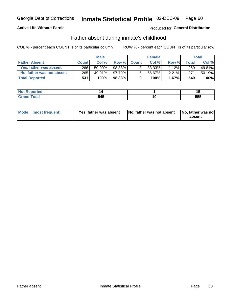### **Active Life Without Parole**

### Produced for General Distribution

## Father absent during inmate's childhood

COL % - percent each COUNT is of its particular column

|                           |              | <b>Male</b> |           |                | <b>Female</b> |          |              | Total   |
|---------------------------|--------------|-------------|-----------|----------------|---------------|----------|--------------|---------|
| <b>Father Absent</b>      | <b>Count</b> | Col%        | Row %     | <b>Count</b>   | Col %         | Row %    | <b>Total</b> | Col %   |
| Yes, father was absent    | 266          | $50.09\%$   | 98.88%    | 3 <sub>1</sub> | $33.33\%$     | $1.12\%$ | 269          | 49.81%  |
| No, father was not absent | 265          | 49.91%      | $97.79\%$ | 6              | 66.67%        | 2.21%    | 271          | 50.19%  |
| <b>Total Reported</b>     | 531          | 100%        | $98.33\%$ | 9              | 100%          | $1.67\%$ | 540          | $100\%$ |

| <b>Not Reported</b>      |     | -<br> |
|--------------------------|-----|-------|
| <b>c</b> otal<br>' Grano | 545 | 555   |

|  | Mode (most frequent) | Yes, father was absent | <b>No. father was not absent</b> | No, father was not<br>absent |
|--|----------------------|------------------------|----------------------------------|------------------------------|
|--|----------------------|------------------------|----------------------------------|------------------------------|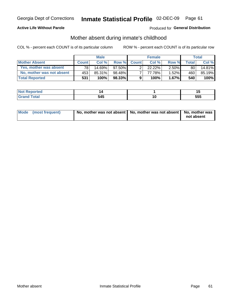### **Active Life Without Parole**

### Produced for General Distribution

## Mother absent during inmate's childhood

COL % - percent each COUNT is of its particular column

|                           |              | <b>Male</b> |           |              | <b>Female</b> |          |       | Total  |
|---------------------------|--------------|-------------|-----------|--------------|---------------|----------|-------|--------|
| <b>Mother Absent</b>      | <b>Count</b> | Col%        | Row %     | <b>Count</b> | Col %         | Row %    | Total | Col %  |
| Yes, mother was absent    | 781          | 14.69%      | $97.50\%$ | ົ            | $22.22\%$     | $2.50\%$ | 80    | 14.81% |
| No, mother was not absent | 453          | 85.31%      | 98.48%    |              | 77.78%        | $1.52\%$ | 460   | 85.19% |
| <b>Total Reported</b>     | 531          | 100%        | $98.33\%$ | 9            | 100%          | $1.67\%$ | 540   | 100%   |

| <b>Not Reported</b> |     |     |
|---------------------|-----|-----|
| <b>Total</b>        | 545 | 555 |

| Mode (most frequent) | No, mother was not absent   No, mother was not absent   No, mother was | not absent |
|----------------------|------------------------------------------------------------------------|------------|
|                      |                                                                        |            |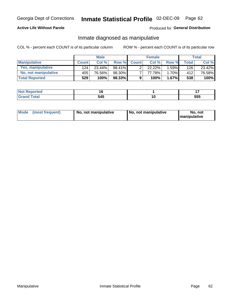### **Active Life Without Parole**

### Produced for General Distribution

## Inmate diagnosed as manipulative

COL % - percent each COUNT is of its particular column

|                          |              | <b>Male</b> |        |              | <b>Female</b> |       |                                 | Total  |
|--------------------------|--------------|-------------|--------|--------------|---------------|-------|---------------------------------|--------|
| <b>Manipulative</b>      | <b>Count</b> | Col %       | Row %  | <b>Count</b> | Col %         | Row % | <b>Total</b>                    | Col %  |
| <b>Yes, manipulative</b> | 124          | 23.44%      | 98.41% | ົ            | $22.22\%$     | 1.59% | 126                             | 23.42% |
| No, not manipulative     | 405          | 76.56%      | 98.30% | ⇁            | 77.78%        | 1.70% | $412$ <sup><math>+</math></sup> | 76.58% |
| <b>Total Reported</b>    | 529          | 100%        | 98.33% | 9            | 100%          | 1.67% | 538                             | 100%   |

| المنتبط المتعدد<br><b>eported</b> |            |    |     |
|-----------------------------------|------------|----|-----|
| <b>otal</b>                       | БИБ<br>ు4ప | ιu | 555 |

|  | Mode (most frequent) | No, not manipulative | No, not manipulative | No. not<br><b>I</b> manipulative |
|--|----------------------|----------------------|----------------------|----------------------------------|
|--|----------------------|----------------------|----------------------|----------------------------------|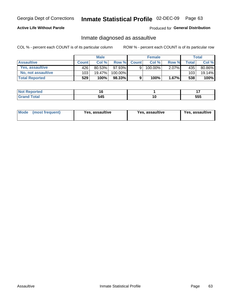## Inmate Statistical Profile 02-DEC-09 Page 63

### **Active Life Without Parole**

Produced for General Distribution

## Inmate diagnosed as assaultive

COL % - percent each COUNT is of its particular column

|                        |              | <b>Male</b> |         |              | <b>Female</b> |          |         | Total  |
|------------------------|--------------|-------------|---------|--------------|---------------|----------|---------|--------|
| <b>Assaultive</b>      | <b>Count</b> | Col%        | Row %   | <b>Count</b> | Col %         | Row %    | Total I | Col %  |
| <b>Yes. assaultive</b> | 426          | 80.53%      | 97.93%  |              | 100.00%       | $2.07\%$ | 435     | 80.86% |
| No, not assaultive     | 103          | 19.47%      | 100.00% |              |               |          | 103     | 19.14% |
| <b>Total Reported</b>  | 529          | 100%        | 98.33%  | 9            | 100%          | 1.67%    | 538     | 100%   |

| <b>Not Reported</b> |     |     | $\sim$ |
|---------------------|-----|-----|--------|
| <b>Total</b>        | 545 | í U | 555    |

| <b>Mode</b><br>(most frequent) | <b>Yes, assaultive</b> | Yes, assaultive | <b>Yes, assaultive</b> |
|--------------------------------|------------------------|-----------------|------------------------|
|--------------------------------|------------------------|-----------------|------------------------|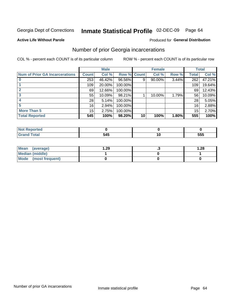#### Inmate Statistical Profile 02-DEC-09 Page 64

Produced for General Distribution

#### **Active Life Without Parole**

## Number of prior Georgia incarcerations

COL % - percent each COUNT is of its particular column

|                                       |              | <b>Male</b> |                    |    | <b>Female</b> |       |       | <b>Total</b> |
|---------------------------------------|--------------|-------------|--------------------|----|---------------|-------|-------|--------------|
| <b>Num of Prior GA Incarcerations</b> | <b>Count</b> | Col %       | <b>Row % Count</b> |    | Col %         | Row % | Total | Col %        |
|                                       | 253          | 46.42%      | 96.56%             | 9  | 90.00%        | 3.44% | 262   | 47.21%       |
|                                       | 109          | 20.00%      | 100.00%            |    |               |       | 109   | 19.64%       |
|                                       | 69           | 12.66%      | 100.00%            |    |               |       | 69    | 12.43%       |
|                                       | 55           | 10.09%      | 98.21%             |    | 10.00%        | 1.79% | 56    | 10.09%       |
|                                       | 28           | 5.14%       | 100.00%            |    |               |       | 28    | 5.05%        |
| 5                                     | 16           | 2.94%       | 100.00%            |    |               |       | 16    | 2.88%        |
| <b>More Than 5</b>                    | 15           | 2.75%       | 100.00%            |    |               |       | 15    | 2.70%        |
| <b>Total Reported</b>                 | 545          | 100%        | 98.20%             | 10 | 100%          | 1.80% | 555   | 100%         |

| onteo         |              |     |
|---------------|--------------|-----|
| <b>c</b> otal | . A C<br>J4J | 555 |

| Mean (average)       | 1.29 | 1.28 |
|----------------------|------|------|
| Median (middle)      |      |      |
| Mode (most frequent) |      |      |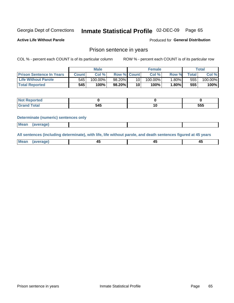#### Inmate Statistical Profile 02-DEC-09 Page 65

**Active Life Without Parole** 

Produced for General Distribution

### Prison sentence in years

COL % - percent each COUNT is of its particular column

ROW % - percent each COUNT is of its particular row

|                                 |              | <b>Male</b> |                    |                 | <b>Female</b> |          |        | Total      |
|---------------------------------|--------------|-------------|--------------------|-----------------|---------------|----------|--------|------------|
| <b>Prison Sentence In Years</b> | <b>Count</b> | Col %       | <b>Row % Count</b> |                 | Col%          | Row %    | Total. | Col %      |
| <b>Life Without Parole</b>      | 545          | $100.00\%$  | 98.20%             | 10 <sub>1</sub> | $100.00\%$    | $1.80\%$ | 555    | $100.00\%$ |
| <b>Total Reported</b>           | 545          | 100%        | $98.20\%$          | 10              | 100%          | 1.80%    | 555    | 100%       |

| Reported<br>$\sim$ $\sim$ $\sim$ |            |     |
|----------------------------------|------------|-----|
|                                  | . .<br>∕TV | 555 |

#### **Determinate (numeric) sentences only**

| <b>Mean</b><br><i>(average)</i> |  |
|---------------------------------|--|
|---------------------------------|--|

All sentences (including determinate), with life, life without parole, and death sentences figured at 45 years

| Me<br>.<br> | -- | -- |  |
|-------------|----|----|--|
|             |    |    |  |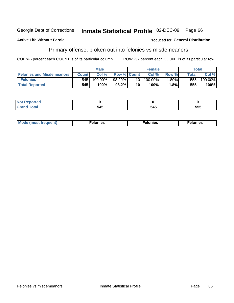#### Georgia Dept of Corrections Inmate Statistical Profile 02-DEC-09 Page 66

#### **Active Life Without Parole**

#### Produced for General Distribution

## Primary offense, broken out into felonies vs misdemeanors

COL % - percent each COUNT is of its particular column

|                                  | <b>Male</b>  |         |                    |      | <b>Female</b> | Total    |                    |         |
|----------------------------------|--------------|---------|--------------------|------|---------------|----------|--------------------|---------|
| <b>Felonies and Misdemeanors</b> | <b>Count</b> | Col%    | <b>Row % Count</b> |      | Col%          | Row %    | Total <sub>1</sub> | Col %   |
| <b>Felonies</b>                  | 545          | 100.00% | 98.20%             | 10 l | $100.00\%$    | $1.80\%$ | 555                | 100.00% |
| <b>Total Reported</b>            | 545          | 100%    | 98.2%              | 10   | $100\%$       | 1.8%     | 555                | 100%    |

| <b>Not Reported</b>                       |            |     |     |
|-------------------------------------------|------------|-----|-----|
| <b>c</b> otal<br>Gran<br>$\mathbf{v}$ and | . .<br>טדי | 545 | 555 |

| Mode (most frequent)<br>elonies | Felonies | Felonies |
|---------------------------------|----------|----------|
|---------------------------------|----------|----------|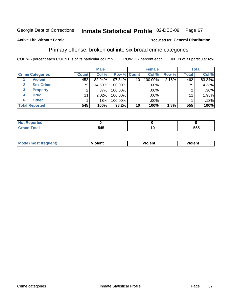#### Inmate Statistical Profile 02-DEC-09 Page 67

### **Active Life Without Parole**

#### Produced for General Distribution

## Primary offense, broken out into six broad crime categories

COL % - percent each COUNT is of its particular column

|                         | <b>Male</b>  |         |             | <b>Female</b> |         |       | <b>Total</b> |         |  |
|-------------------------|--------------|---------|-------------|---------------|---------|-------|--------------|---------|--|
| <b>Crime Categories</b> | <b>Count</b> | Col %   | Row % Count |               | Col %   | Row % | <b>Total</b> | Col %   |  |
| <b>Violent</b>          | 452          | 82.94%  | 97.84%      | 10            | 100.00% | 2.16% | 462          | 83.24%  |  |
| <b>Sex Crime</b>        | 79           | 14.50%  | 100.00%     |               | .00%    |       | 79           | 14.23%  |  |
| 3<br><b>Property</b>    | 2            | $.37\%$ | 100.00%     |               | .00%    |       |              | $.36\%$ |  |
| <b>Drug</b><br>4        | 11           | 2.02%   | 100.00%     |               | .00%    |       | 11           | 1.98%   |  |
| <b>Other</b><br>6       |              | .18%    | 100.00%     |               | .00%    |       |              | .18%    |  |
| <b>Total Reported</b>   | 545          | 100%    | 98.2%       | 10            | 100%    | 1.8%  | 555          | 100%    |  |

| <b>Not Reported</b> |            |    |     |
|---------------------|------------|----|-----|
| Total               | 545<br>טדי | ιu | 555 |

| M | . | 40 O |
|---|---|------|
|   |   |      |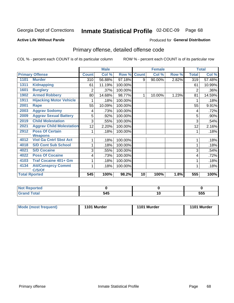#### Inmate Statistical Profile 02-DEC-09 Page 68

### **Active Life Without Parole**

#### **Produced for General Distribution**

## Primary offense, detailed offense code

COL % - percent each COUNT is of its particular column

|      |                                 |                | <b>Male</b> |         |              | <b>Female</b> |       |                | <b>Total</b> |
|------|---------------------------------|----------------|-------------|---------|--------------|---------------|-------|----------------|--------------|
|      | <b>Primary Offense</b>          | <b>Count</b>   | Col %       | Row %   | <b>Count</b> | Col %         | Row % | <b>Total</b>   | Col %        |
| 1101 | <b>Murder</b>                   | 310            | 56.88%      | 97.18%  | 9            | 90.00%        | 2.82% | 319            | 57.48%       |
| 1311 | <b>Kidnapping</b>               | 61             | 11.19%      | 100.00% |              |               |       | 61             | 10.99%       |
| 1601 | <b>Burglary</b>                 | $\overline{2}$ | .37%        | 100.00% |              |               |       | $\overline{2}$ | .36%         |
| 1902 | <b>Armed Robbery</b>            | 80             | 14.68%      | 98.77%  | 1            | 10.00%        | 1.23% | 81             | 14.59%       |
| 1911 | <b>Hijacking Motor Vehicle</b>  |                | .18%        | 100.00% |              |               |       |                | .18%         |
| 2001 | Rape                            | 55             | 10.09%      | 100.00% |              |               |       | 55             | 9.91%        |
| 2003 | <b>Aggrav Sodomy</b>            | 4              | .73%        | 100.00% |              |               |       | 4              | .72%         |
| 2009 | <b>Aggrav Sexual Battery</b>    | 5              | .92%        | 100.00% |              |               |       | 5              | .90%         |
| 2019 | <b>Child Molestation</b>        | 3              | .55%        | 100.00% |              |               |       | 3              | .54%         |
| 2021 | <b>Aggrav Child Molestation</b> | 12             | 2.20%       | 100.00% |              |               |       | 12             | 2.16%        |
| 2912 | <b>Poss Of Certain</b>          |                | .18%        | 100.00% |              |               |       |                | .18%         |
|      | <b>Weapons</b>                  |                |             |         |              |               |       |                |              |
| 4012 | <b>Viol Ga Cntrl Sbst Act</b>   |                | .18%        | 100.00% |              |               |       |                | .18%         |
| 4018 | <b>S/D Cont Sub School</b>      |                | .18%        | 100.00% |              |               |       |                | .18%         |
| 4021 | <b>S/D Cocaine</b>              | 3              | .55%        | 100.00% |              |               |       | 3              | .54%         |
| 4022 | <b>Poss Of Cocaine</b>          | 4              | .73%        | 100.00% |              |               |       | 4              | .72%         |
| 4103 | <b>Traf Cocaine 401+ Gm</b>     |                | .18%        | 100.00% |              |               |       |                | .18%         |
| 4134 | <b>Att/Consprcy Commt</b>       |                | .18%        | 100.00% |              |               |       |                | .18%         |
|      | C/S/Of                          |                |             |         |              |               |       |                |              |
|      | <b>Total Rported</b>            | 545            | 100%        | 98.2%   | 10           | 100%          | 1.8%  | 555            | 100%         |

| Reportea     |              |          |     |
|--------------|--------------|----------|-----|
| <b>Total</b> | - 4 -<br>JTJ | יי<br>__ | 555 |

| Mode (most frequent) | 1101 Murder | 1101 Murder | 1101 Murder |
|----------------------|-------------|-------------|-------------|
|----------------------|-------------|-------------|-------------|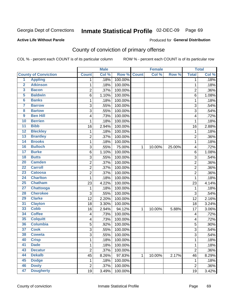#### Inmate Statistical Profile 02-DEC-09 Page 69

**Active Life Without Parole** 

Produced for General Distribution

## County of conviction of primary offense

COL % - percent each COUNT is of its particular column

|                         |                             |                           | <b>Male</b> |         |              | <b>Female</b> |        |                | <b>Total</b> |
|-------------------------|-----------------------------|---------------------------|-------------|---------|--------------|---------------|--------|----------------|--------------|
|                         | <b>County of Conviction</b> | <b>Count</b>              | Col %       | Row %   | <b>Count</b> | Col %         | Row %  | <b>Total</b>   | Col %        |
| 1                       | <b>Appling</b>              | 1                         | .18%        | 100.00% |              |               |        | 1              | .18%         |
| $\overline{2}$          | <b>Atkinson</b>             | 1                         | .18%        | 100.00% |              |               |        | $\mathbf{1}$   | .18%         |
| $\overline{\mathbf{3}}$ | <b>Bacon</b>                | $\overline{c}$            | .37%        | 100.00% |              |               |        | $\overline{2}$ | .36%         |
| 5                       | <b>Baldwin</b>              | $\,6$                     | 1.10%       | 100.00% |              |               |        | 6              | 1.08%        |
| $6\phantom{a}$          | <b>Banks</b>                | 1                         | .18%        | 100.00% |              |               |        | 1              | .18%         |
| 7                       | <b>Barrow</b>               | $\ensuremath{\mathsf{3}}$ | .55%        | 100.00% |              |               |        | 3              | .54%         |
| $\overline{\mathbf{8}}$ | <b>Bartow</b>               | 3                         | .55%        | 100.00% |              |               |        | 3              | .54%         |
| 9                       | <b>Ben Hill</b>             | 4                         | .73%        | 100.00% |              |               |        | 4              | .72%         |
| 10                      | <b>Berrien</b>              | 1                         | .18%        | 100.00% |              |               |        | 1              | .18%         |
| $\overline{11}$         | <b>Bibb</b>                 | 16                        | 2.94%       | 100.00% |              |               |        | 16             | 2.88%        |
| 12                      | <b>Bleckley</b>             | 1                         | .18%        | 100.00% |              |               |        | 1              | .18%         |
| 13                      | <b>Brantley</b>             | $\overline{2}$            | .37%        | 100.00% |              |               |        | $\overline{2}$ | .36%         |
| $\overline{14}$         | <b>Brooks</b>               | 1                         | .18%        | 100.00% |              |               |        | 1              | .18%         |
| 16                      | <b>Bulloch</b>              | $\mathbf{3}$              | .55%        | 75.00%  | 1            | 10.00%        | 25.00% | 4              | .72%         |
| $\overline{17}$         | <b>Burke</b>                | $\,6$                     | 1.10%       | 100.00% |              |               |        | 6              | 1.08%        |
| 18                      | <b>Butts</b>                | $\mathbf{3}$              | .55%        | 100.00% |              |               |        | $\mathbf{3}$   | .54%         |
| 20                      | <b>Camden</b>               | $\overline{c}$            | .37%        | 100.00% |              |               |        | $\overline{2}$ | .36%         |
| $\overline{22}$         | <b>Carroll</b>              | $\overline{2}$            | .37%        | 100.00% |              |               |        | $\overline{2}$ | .36%         |
| $\overline{23}$         | <b>Catoosa</b>              | $\overline{c}$            | .37%        | 100.00% |              |               |        | $\overline{c}$ | .36%         |
| 24                      | <b>Charlton</b>             | 1                         | .18%        | 100.00% |              |               |        | 1              | .18%         |
| 25                      | <b>Chatham</b>              | 23                        | 4.22%       | 100.00% |              |               |        | 23             | 4.14%        |
| $\overline{27}$         | <b>Chattooga</b>            | 1                         | .18%        | 100.00% |              |               |        | $\mathbf{1}$   | .18%         |
| 28                      | <b>Cherokee</b>             | 3                         | .55%        | 100.00% |              |               |        | 3              | .54%         |
| 29                      | <b>Clarke</b>               | 12                        | 2.20%       | 100.00% |              |               |        | 12             | 2.16%        |
| 31                      | <b>Clayton</b>              | 18                        | 3.30%       | 100.00% |              |               |        | 18             | 3.24%        |
| 33                      | <b>Cobb</b>                 | 16                        | 2.94%       | 94.12%  | 1            | 10.00%        | 5.88%  | 17             | 3.06%        |
| 34                      | <b>Coffee</b>               | 4                         | .73%        | 100.00% |              |               |        | 4              | .72%         |
| 35                      | <b>Colquitt</b>             | $\overline{\mathbf{4}}$   | .73%        | 100.00% |              |               |        | 4              | .72%         |
| 36                      | <b>Columbia</b>             | 5                         | .92%        | 100.00% |              |               |        | 5              | .90%         |
| 37                      | <b>Cook</b>                 | 3                         | .55%        | 100.00% |              |               |        | $\sqrt{3}$     | .54%         |
| 38                      | <b>Coweta</b>               | 3                         | .55%        | 100.00% |              |               |        | 3              | .54%         |
| 40                      | <b>Crisp</b>                | 1                         | .18%        | 100.00% |              |               |        | 1              | .18%         |
| 41                      | <b>Dade</b>                 | 1                         | .18%        | 100.00% |              |               |        | $\mathbf{1}$   | .18%         |
| 43                      | <b>Decatur</b>              | $\overline{2}$            | .37%        | 100.00% |              |               |        | $\overline{2}$ | .36%         |
| 44                      | <b>Dekalb</b>               | 45                        | 8.26%       | 97.83%  | 1            | 10.00%        | 2.17%  | 46             | 8.29%        |
| 45                      | <b>Dodge</b>                | 1                         | .18%        | 100.00% |              |               |        | 1              | .18%         |
| 46                      | <b>Dooly</b>                | $\mathbf 2$               | .37%        | 100.00% |              |               |        | $\mathbf 2$    | .36%         |
| 47                      | <b>Dougherty</b>            | 19                        | 3.49%       | 100.00% |              |               |        | 19             | 3.42%        |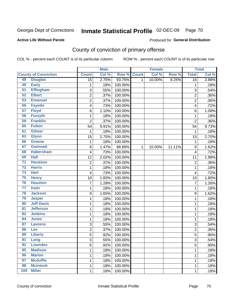# Inmate Statistical Profile 02-DEC-09 Page 70

#### **Active Life Without Parole**

#### Produced for General Distribution

## County of conviction of primary offense

COL % - percent each COUNT is of its particular column

|                 |                             |                 | <b>Male</b> |         |              | <b>Female</b> |        |                | <b>Total</b> |
|-----------------|-----------------------------|-----------------|-------------|---------|--------------|---------------|--------|----------------|--------------|
|                 | <b>County of Conviction</b> | <b>Count</b>    | Col %       | Row %   | <b>Count</b> | Col %         | Row %  | <b>Total</b>   | Col %        |
| 48              | <b>Douglas</b>              | $\overline{15}$ | 2.75%       | 93.75%  | 1            | 10.00%        | 6.25%  | 16             | 2.88%        |
| 49              | <b>Early</b>                | 1               | .18%        | 100.00% |              |               |        | 1              | .18%         |
| $\overline{51}$ | <b>Effingham</b>            | 3               | .55%        | 100.00% |              |               |        | 3              | .54%         |
| 52              | <b>Elbert</b>               | $\overline{2}$  | .37%        | 100.00% |              |               |        | $\overline{2}$ | .36%         |
| 53              | <b>Emanuel</b>              | 2               | .37%        | 100.00% |              |               |        | $\overline{c}$ | .36%         |
| 56              | <b>Fayette</b>              | 4               | .73%        | 100.00% |              |               |        | 4              | .72%         |
| 57              | <b>Floyd</b>                | 6               | 1.10%       | 100.00% |              |               |        | 6              | 1.08%        |
| 58              | <b>Forsyth</b>              | 1               | .18%        | 100.00% |              |               |        | 1              | .18%         |
| 59              | <b>Franklin</b>             | $\overline{2}$  | .37%        | 100.00% |              |               |        | $\overline{2}$ | .36%         |
| 60              | <b>Fulton</b>               | 54              | 9.91%       | 100.00% |              |               |        | 54             | 9.73%        |
| 61              | <b>Gilmer</b>               | 1               | .18%        | 100.00% |              |               |        | 1              | .18%         |
| 63              | <b>Glynn</b>                | 15              | 2.75%       | 100.00% |              |               |        | 15             | 2.70%        |
| 66              | <b>Greene</b>               | 1               | .18%        | 100.00% |              |               |        | $\mathbf 1$    | .18%         |
| 67              | <b>Gwinnett</b>             | 8               | 1.47%       | 88.89%  | $\mathbf{1}$ | 10.00%        | 11.11% | 9              | 1.62%        |
| 68              | <b>Habersham</b>            | 4               | .73%        | 100.00% |              |               |        | 4              | .72%         |
| 69              | <b>Hall</b>                 | 11              | 2.02%       | 100.00% |              |               |        | 11             | 1.98%        |
| $\overline{71}$ | <b>Haralson</b>             | 2               | .37%        | 100.00% |              |               |        | $\overline{2}$ | .36%         |
| $\overline{72}$ | <b>Harris</b>               | 1               | .18%        | 100.00% |              |               |        | 1              | .18%         |
| 73              | <b>Hart</b>                 | 4               | .73%        | 100.00% |              |               |        | 4              | .72%         |
| 75              | <b>Henry</b>                | 10              | 1.83%       | 100.00% |              |               |        | 10             | 1.80%        |
| 76              | <b>Houston</b>              | $\overline{7}$  | 1.28%       | 100.00% |              |               |        | $\overline{7}$ | 1.26%        |
| $\overline{77}$ | <b>Irwin</b>                | 1               | .18%        | 100.00% |              |               |        | 1              | .18%         |
| 78              | <b>Jackson</b>              | 9               | 1.65%       | 100.00% |              |               |        | 9              | 1.62%        |
| 79              | <b>Jasper</b>               | 1               | .18%        | 100.00% |              |               |        | 1              | .18%         |
| 80              | <b>Jeff Davis</b>           | 1               | .18%        | 100.00% |              |               |        | 1              | .18%         |
| $\overline{81}$ | <b>Jefferson</b>            | 1               | .18%        | 100.00% |              |               |        | 1              | .18%         |
| 82              | <b>Jenkins</b>              | 1               | .18%        | 100.00% |              |               |        | 1              | .18%         |
| 84              | <b>Jones</b>                | 1               | .18%        | 100.00% |              |               |        | 1              | .18%         |
| 87              | <b>Laurens</b>              | 3               | .55%        | 100.00% |              |               |        | 3              | .54%         |
| 88              | Lee                         | $\overline{2}$  | .37%        | 100.00% |              |               |        | $\overline{2}$ | .36%         |
| 89              | <b>Liberty</b>              | 5               | .92%        | 100.00% |              |               |        | 5              | .90%         |
| 91              | Long                        | 3               | .55%        | 100.00% |              |               |        | 3              | .54%         |
| 92              | <b>Lowndes</b>              | 5               | .92%        | 100.00% |              |               |        | 5              | .90%         |
| 95              | <b>Madison</b>              | $\mathbf 1$     | .18%        | 100.00% |              |               |        | 1              | .18%         |
| 96              | <b>Marion</b>               | 1               | .18%        | 100.00% |              |               |        | 1              | .18%         |
| 97              | <b>Mcduffie</b>             | 1               | .18%        | 100.00% |              |               |        | 1              | .18%         |
| 98              | <b>Mcintosh</b>             | 1               | .18%        | 100.00% |              |               |        | 1              | .18%         |
| 100             | <b>Miller</b>               | $\mathbf 1$     | .18%        | 100.00% |              |               |        | 1              | .18%         |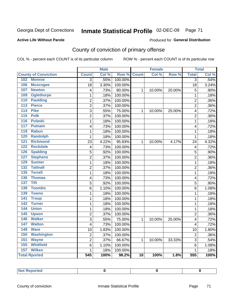#### Inmate Statistical Profile 02-DEC-09 Page 71

#### **Active Life Without Parole**

#### Produced for General Distribution

## County of conviction of primary offense

COL % - percent each COUNT is of its particular column

|                                     |                         | <b>Male</b> |         |                 | <b>Female</b> |        |                         | <b>Total</b> |
|-------------------------------------|-------------------------|-------------|---------|-----------------|---------------|--------|-------------------------|--------------|
| <b>County of Conviction</b>         | <b>Count</b>            | Col %       | Row %   | <b>Count</b>    | Col %         | Row %  | <b>Total</b>            | Col %        |
| 102<br><b>Monroe</b>                | $\overline{3}$          | .55%        | 100.00% |                 |               |        | $\overline{3}$          | .54%         |
| 106<br><b>Muscogee</b>              | 18                      | 3.30%       | 100.00% |                 |               |        | 18                      | 3.24%        |
| 107<br><b>Newton</b>                | 4                       | .73%        | 80.00%  | $\mathbf{1}$    | 10.00%        | 20.00% | 5                       | .90%         |
| <b>Oglethorpe</b><br>109            | 1                       | .18%        | 100.00% |                 |               |        | $\mathbf{1}$            | .18%         |
| 110<br><b>Paulding</b>              | $\overline{2}$          | .37%        | 100.00% |                 |               |        | $\overline{2}$          | .36%         |
| <b>Pierce</b><br>113                | $\overline{2}$          | .37%        | 100.00% |                 |               |        | $\overline{2}$          | .36%         |
| <b>Pike</b><br>114                  | $\overline{3}$          | .55%        | 75.00%  | $\mathbf{1}$    | 10.00%        | 25.00% | 4                       | .72%         |
| 115<br><b>Polk</b>                  | $\overline{2}$          | .37%        | 100.00% |                 |               |        | $\overline{2}$          | .36%         |
| 116<br><b>Pulaski</b>               | 1                       | .18%        | 100.00% |                 |               |        | $\mathbf 1$             | .18%         |
| 117<br><b>Putnam</b>                | 4                       | .73%        | 100.00% |                 |               |        | 4                       | .72%         |
| 119<br><b>Rabun</b>                 | $\mathbf{1}$            | .18%        | 100.00% |                 |               |        | $\mathbf 1$             | .18%         |
| <b>Randolph</b><br>120              | $\mathbf{1}$            | .18%        | 100.00% |                 |               |        | $\mathbf 1$             | .18%         |
| 121<br><b>Richmond</b>              | 23                      | 4.22%       | 95.83%  | $\mathbf{1}$    | 10.00%        | 4.17%  | 24                      | 4.32%        |
| 122<br><b>Rockdale</b>              | $\overline{\mathbf{4}}$ | .73%        | 100.00% |                 |               |        | $\overline{\mathbf{4}}$ | .72%         |
| 126<br><b>Spalding</b>              | 5                       | .92%        | 100.00% |                 |               |        | 5                       | .90%         |
| <b>Stephens</b><br>127              | $\overline{2}$          | .37%        | 100.00% |                 |               |        | $\overline{2}$          | .36%         |
| 129<br><b>Sumter</b>                | 1                       | .18%        | 100.00% |                 |               |        | 1                       | .18%         |
| <b>Tattnall</b><br>$\overline{132}$ | $\overline{2}$          | .37%        | 100.00% |                 |               |        | $\overline{c}$          | .36%         |
| <b>Terrell</b><br>135               | 1                       | .18%        | 100.00% |                 |               |        | $\mathbf{1}$            | .18%         |
| 136<br><b>Thomas</b>                | 4                       | .73%        | 100.00% |                 |               |        | 4                       | .72%         |
| $\overline{137}$<br><b>Tift</b>     | 5                       | .92%        | 100.00% |                 |               |        | 5                       | .90%         |
| <b>Toombs</b><br>138                | 6                       | 1.10%       | 100.00% |                 |               |        | 6                       | 1.08%        |
| 139<br><b>Towns</b>                 | 1                       | .18%        | 100.00% |                 |               |        | $\mathbf 1$             | .18%         |
| <b>Troup</b><br>141                 | 1                       | .18%        | 100.00% |                 |               |        | $\mathbf{1}$            | .18%         |
| 142<br><b>Turner</b>                | $\mathbf{1}$            | .18%        | 100.00% |                 |               |        | $\mathbf 1$             | .18%         |
| 144<br><b>Union</b>                 | $\mathbf{1}$            | .18%        | 100.00% |                 |               |        | $\mathbf 1$             | .18%         |
| 145<br><b>Upson</b>                 | $\overline{2}$          | .37%        | 100.00% |                 |               |        | $\overline{2}$          | .36%         |
| <b>Walker</b><br>146                | 3                       | .55%        | 75.00%  | 1               | 10.00%        | 25.00% | 4                       | .72%         |
| 147<br><b>Walton</b>                | 4                       | .73%        | 100.00% |                 |               |        | 4                       | .72%         |
| <b>Ware</b><br>148                  | 10                      | 1.83%       | 100.00% |                 |               |        | 10                      | 1.80%        |
| 150<br><b>Washington</b>            | $\overline{c}$          | .37%        | 100.00% |                 |               |        | $\overline{2}$          | .36%         |
| 151<br><b>Wayne</b>                 | 2                       | .37%        | 66.67%  | $\mathbf{1}$    | 10.00%        | 33.33% | 3                       | .54%         |
| <b>Whitfield</b><br>155             | 6                       | 1.10%       | 100.00% |                 |               |        | 6                       | 1.08%        |
| 157<br><b>Wilkes</b>                | $\mathbf{1}$            | .18%        | 100.00% |                 |               |        | 1                       | .18%         |
| <b>Total Rported</b>                | $\overline{545}$        | 100%        | 98.2%   | $\overline{10}$ | 100%          | 1.8%   | $\overline{555}$        | 100%         |

| <b>Reported</b><br>. Not |  |  |
|--------------------------|--|--|
|                          |  |  |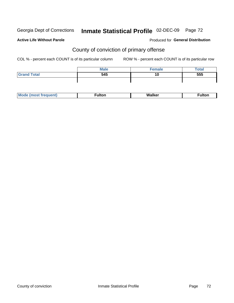# Inmate Statistical Profile 02-DEC-09 Page 72

#### **Active Life Without Parole**

#### Produced for General Distribution

## County of conviction of primary offense

COL % - percent each COUNT is of its particular column

|                    | <b>Male</b> | Female | <b>Total</b> |
|--------------------|-------------|--------|--------------|
| <b>Grand Total</b> | 545         | 10     | 555          |
|                    |             |        |              |

| M | --- | $\mathsf{W}$<br>alker. | . |
|---|-----|------------------------|---|
|---|-----|------------------------|---|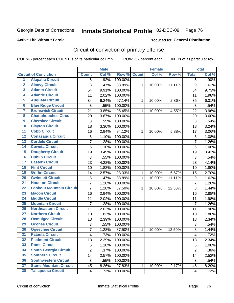Georgia Dept of Corrections

# Inmate Statistical Profile 02-DEC-09 Page 76

**Active Life Without Parole** 

Produced for General Distribution

## Circuit of conviction of primary offense

COL % - percent each COUNT is of its particular column

|                         |                                 |                | <b>Male</b> |         |              | <b>Female</b> |        |                         | <b>Total</b> |
|-------------------------|---------------------------------|----------------|-------------|---------|--------------|---------------|--------|-------------------------|--------------|
|                         | <b>Circuit of Conviction</b>    | <b>Count</b>   | Col %       | Row %   | <b>Count</b> | Col %         | Row %  | <b>Total</b>            | Col %        |
| 1                       | <b>Alapaha Circuit</b>          | 5              | .92%        | 100.00% |              |               |        | $\overline{5}$          | $.90\%$      |
| $\overline{2}$          | <b>Alcovy Circuit</b>           | 8              | 1.47%       | 88.89%  | 1            | 10.00%        | 11.11% | 9                       | 1.62%        |
| $\overline{\mathbf{3}}$ | <b>Atlanta Circuit</b>          | 54             | 9.91%       | 100.00% |              |               |        | 54                      | 9.73%        |
| 4                       | <b>Atlantic Circuit</b>         | 11             | 2.02%       | 100.00% |              |               |        | 11                      | 1.98%        |
| 5                       | <b>Augusta Circuit</b>          | 34             | 6.24%       | 97.14%  | $\mathbf{1}$ | 10.00%        | 2.86%  | 35                      | 6.31%        |
| $\overline{6}$          | <b>Blue Ridge Circuit</b>       | 3              | .55%        | 100.00% |              |               |        | 3                       | .54%         |
| $\overline{\mathbf{7}}$ | <b>Brunswick Circuit</b>        | 21             | 3.85%       | 95.45%  | $\mathbf{1}$ | 10.00%        | 4.55%  | 22                      | 3.96%        |
| 8                       | <b>Chattahoochee Circuit</b>    | 20             | 3.67%       | 100.00% |              |               |        | 20                      | 3.60%        |
| $\overline{9}$          | <b>Cherokee Circuit</b>         | 3              | .55%        | 100.00% |              |               |        | 3                       | .54%         |
| 10                      | <b>Clayton Circuit</b>          | 18             | 3.30%       | 100.00% |              |               |        | 18                      | 3.24%        |
| $\overline{11}$         | <b>Cobb Circuit</b>             | 16             | 2.94%       | 94.12%  | 1            | 10.00%        | 5.88%  | 17                      | 3.06%        |
| $\overline{12}$         | <b>Conasauga Circuit</b>        | 6              | 1.10%       | 100.00% |              |               |        | $\,6$                   | 1.08%        |
| 13                      | <b>Cordele Circuit</b>          | 7              | 1.28%       | 100.00% |              |               |        | $\overline{7}$          | 1.26%        |
| 14                      | <b>Coweta Circuit</b>           | $\,6$          | 1.10%       | 100.00% |              |               |        | $\,6$                   | 1.08%        |
| 15                      | <b>Dougherty Circuit</b>        | 19             | 3.49%       | 100.00% |              |               |        | 19                      | 3.42%        |
| 16                      | <b>Dublin Circuit</b>           | 3              | .55%        | 100.00% |              |               |        | 3                       | .54%         |
| 17                      | <b>Eastern Circuit</b>          | 23             | 4.22%       | 100.00% |              |               |        | 23                      | 4.14%        |
| 18                      | <b>Flint Circuit</b>            | 10             | 1.83%       | 100.00% |              |               |        | 10                      | 1.80%        |
| 19                      | <b>Griffin Circuit</b>          | 14             | 2.57%       | 93.33%  | 1            | 10.00%        | 6.67%  | 15                      | 2.70%        |
| 20                      | <b>Gwinnett Circuit</b>         | 8              | 1.47%       | 88.89%  | 1            | 10.00%        | 11.11% | $\boldsymbol{9}$        | 1.62%        |
| $\overline{21}$         | <b>Houston Circuit</b>          | $\overline{7}$ | 1.28%       | 100.00% |              |               |        | $\overline{7}$          | 1.26%        |
| $\overline{22}$         | <b>Lookout Mountain Circuit</b> | $\overline{7}$ | 1.28%       | 87.50%  | $\mathbf{1}$ | 10.00%        | 12.50% | 8                       | 1.44%        |
| 23                      | <b>Macon Circuit</b>            | 16             | 2.94%       | 100.00% |              |               |        | 16                      | 2.88%        |
| $\overline{24}$         | <b>Middle Circuit</b>           | 11             | 2.02%       | 100.00% |              |               |        | 11                      | 1.98%        |
| $\overline{25}$         | <b>Mountain Circuit</b>         | $\overline{7}$ | 1.28%       | 100.00% |              |               |        | $\overline{7}$          | 1.26%        |
| 26                      | <b>Northeastern Circuit</b>     | 11             | 2.02%       | 100.00% |              |               |        | 11                      | 1.98%        |
| $\overline{27}$         | <b>Northern Circuit</b>         | 10             | 1.83%       | 100.00% |              |               |        | 10                      | 1.80%        |
| 28                      | <b>Ocmulgee Circuit</b>         | 13             | 2.39%       | 100.00% |              |               |        | 13                      | 2.34%        |
| 29                      | <b>Oconee Circuit</b>           | 3              | .55%        | 100.00% |              |               |        | 3                       | .54%         |
| 30                      | <b>Ogeechee Circuit</b>         | $\overline{7}$ | 1.28%       | 87.50%  | $\mathbf{1}$ | 10.00%        | 12.50% | 8                       | 1.44%        |
| $\overline{31}$         | <b>Pataula Circuit</b>          | 4              | .73%        | 100.00% |              |               |        | $\overline{\mathbf{4}}$ | .72%         |
| 32                      | <b>Piedmont Circuit</b>         | 13             | 2.39%       | 100.00% |              |               |        | 13                      | 2.34%        |
| 33                      | <b>Rome Circuit</b>             | 6              | 1.10%       | 100.00% |              |               |        | 6                       | 1.08%        |
| 34                      | <b>South Georgia Circuit</b>    | $\overline{2}$ | .37%        | 100.00% |              |               |        | $\overline{2}$          | .36%         |
| 35                      | <b>Southern Circuit</b>         | 14             | 2.57%       | 100.00% |              |               |        | 14                      | 2.52%        |
| 36                      | <b>Southwestern Circuit</b>     | 3              | .55%        | 100.00% |              |               |        | $\sqrt{3}$              | .54%         |
| 37                      | <b>Stone Mountain Circuit</b>   | 45             | 8.26%       | 97.83%  | $\mathbf{1}$ | 10.00%        | 2.17%  | 46                      | 8.29%        |
| 38                      | <b>Tallapoosa Circuit</b>       | $\overline{4}$ | .73%        | 100.00% |              |               |        | $\overline{\mathbf{4}}$ | .72%         |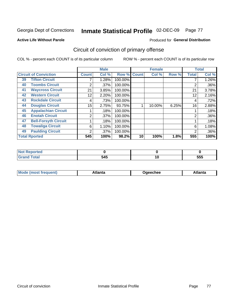Georgia Dept of Corrections

#### Inmate Statistical Profile 02-DEC-09 Page 77

**Active Life Without Parole** 

#### Produced for General Distribution

## Circuit of conviction of primary offense

COL % - percent each COUNT is of its particular column

|    |                              |              | <b>Male</b> |         |              | <b>Female</b> |       |              | <b>Total</b> |
|----|------------------------------|--------------|-------------|---------|--------------|---------------|-------|--------------|--------------|
|    | <b>Circuit of Conviction</b> | <b>Count</b> | Col %       | Row %   | <b>Count</b> | Col %         | Row % | <b>Total</b> | Col %        |
| 39 | <b>Tifton Circuit</b>        |              | 1.28%       | 100.00% |              |               |       |              | 1.26%        |
| 40 | <b>Toombs Circuit</b>        | 2            | $.37\%$     | 100.00% |              |               |       | 2            | $.36\%$      |
| 41 | <b>Waycross Circuit</b>      | 21           | 3.85%       | 100.00% |              |               |       | 21           | 3.78%        |
| 42 | <b>Western Circuit</b>       | 12           | 2.20%       | 100.00% |              |               |       | 12           | 2.16%        |
| 43 | <b>Rockdale Circuit</b>      | 4            | .73%        | 100.00% |              |               |       | 4            | .72%         |
| 44 | <b>Douglas Circuit</b>       | 15           | 2.75%       | 93.75%  |              | 10.00%        | 6.25% | 16           | 2.88%        |
| 45 | <b>Appalachian Circuit</b>   |              | .18%        | 100.00% |              |               |       |              | .18%         |
| 46 | <b>Enotah Circuit</b>        | 2            | $.37\%$     | 100.00% |              |               |       | 2            | $.36\%$      |
| 47 | <b>Bell-Forsyth Circuit</b>  |              | .18%        | 100.00% |              |               |       |              | .18%         |
| 48 | <b>Towaliga Circuit</b>      | 6            | 1.10%       | 100.00% |              |               |       | 6            | 1.08%        |
| 49 | <b>Paulding Circuit</b>      | 2            | $.37\%$     | 100.00% |              |               |       | 2            | $.36\%$      |
|    | <b>Total Rported</b>         | 545          | 100%        | 98.2%   | 10           | 100%          | 1.8%  | 555          | 100%         |

| N<br>τeα |            |   |            |
|----------|------------|---|------------|
| $\sim$   | 545<br>- - | י | ---<br>ວວວ |

| Mc<br>tlanta<br>\tlanta<br>echee: |
|-----------------------------------|
|-----------------------------------|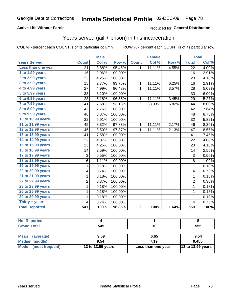#### Inmate Statistical Profile 02-DEC-09 Page 78

### **Active Life Without Parole**

### Produced for General Distribution

## Years served (jail + prison) in this incarceration

COL % - percent each COUNT is of its particular column

|                       |                | <b>Male</b> |         |                | <b>Female</b> |       |                         | <b>Total</b> |
|-----------------------|----------------|-------------|---------|----------------|---------------|-------|-------------------------|--------------|
| <b>Years Served</b>   | <b>Count</b>   | Col %       | Row %   | <b>Count</b>   | Col %         | Row % | <b>Total</b>            | Col %        |
| Less than one year    | 21             | 3.88%       | 95.45%  | 1              | 11.11%        | 4.55% | 22                      | 4.00%        |
| 1 to 1.99 years       | 16             | 2.96%       | 100.00% |                |               |       | 16                      | 2.91%        |
| 2 to 2.99 years       | 23             | 4.25%       | 100.00% |                |               |       | 23                      | 4.18%        |
| 3 to 3.99 years       | 15             | 2.77%       | 93.75%  | $\mathbf{1}$   | 11.11%        | 6.25% | 16                      | 2.91%        |
| 4 to 4.99 years       | 27             | 4.99%       | 96.43%  | 1              | 11.11%        | 3.57% | 28                      | 5.09%        |
| 5 to 5.99 years       | 33             | 6.10%       | 100.00% |                |               |       | 33                      | 6.00%        |
| 6 to 6.99 years       | 28             | 5.18%       | 96.55%  | $\mathbf 1$    | 11.11%        | 3.45% | 29                      | 5.27%        |
| 7 to 7.99 years       | 41             | 7.58%       | 93.18%  | 3              | 33.33%        | 6.82% | 44                      | 8.00%        |
| 8 to 8.99 years       | 42             | 7.76%       | 100.00% |                |               |       | 42                      | 7.64%        |
| 9 to 9.99 years       | 48             | 8.87%       | 100.00% |                |               |       | 48                      | 8.73%        |
| 10 to 10.99 years     | 32             | 5.91%       | 100.00% |                |               |       | 32                      | 5.82%        |
| 11 to 11.99 years     | 45             | 8.32%       | 97.83%  | 1              | 11.11%        | 2.17% | 46                      | 8.36%        |
| 12 to 12.99 years     | 46             | 8.50%       | 97.87%  | 1              | 11.11%        | 2.13% | 47                      | 8.55%        |
| 13 to 13.99 years     | 41             | 7.58%       | 100.00% |                |               |       | 41                      | 7.45%        |
| 14 to 14.99 years     | 22             | 4.07%       | 100.00% |                |               |       | 22                      | 4.00%        |
| 15 to 15.99 years     | 23             | 4.25%       | 100.00% |                |               |       | 23                      | 4.18%        |
| 16 to 16.99 years     | 14             | 2.59%       | 100.00% |                |               |       | 14                      | 2.55%        |
| 17 to 17.99 years     | 3              | 0.55%       | 100.00% |                |               |       | 3                       | 0.55%        |
| 18 to 18.99 years     | 6              | 1.11%       | 100.00% |                |               |       | 6                       | 1.09%        |
| 19 to 19.99 years     | 1              | 0.18%       | 100.00% |                |               |       | $\mathbf{1}$            | 0.18%        |
| 20 to 20.99 years     | 4              | 0.74%       | 100.00% |                |               |       | $\overline{\mathbf{4}}$ | 0.73%        |
| 21 to 21.99 years     | $\mathbf 1$    | 0.18%       | 100.00% |                |               |       | $\mathbf 1$             | 0.18%        |
| 22 to 22.99 years     | $\overline{c}$ | 0.37%       | 100.00% |                |               |       | $\overline{2}$          | 0.36%        |
| 23 to 23.99 years     | $\mathbf 1$    | 0.18%       | 100.00% |                |               |       | $\mathbf{1}$            | 0.18%        |
| 25 to 25.99 years     | $\mathbf 1$    | 0.18%       | 100.00% |                |               |       | $\mathbf{1}$            | 0.18%        |
| 29 to 29.99 years     | $\mathbf 1$    | 0.18%       | 100.00% |                |               |       | $\mathbf 1$             | 0.18%        |
| Thirty + years        | 4              | 0.74%       | 100.00% |                |               |       | 4                       | 0.73%        |
| <b>Total Reported</b> | 541            | 100%        | 98.36%  | $\overline{9}$ | 100%          | 1.64% | 550                     | 100%         |

| тес |     |            |
|-----|-----|------------|
|     | 545 | ---<br>ວວວ |

| <b>Mean</b><br>(average) | 9.59              | 6.65               | 9.54                |
|--------------------------|-------------------|--------------------|---------------------|
| Median (middle)          | 9.54              | 7.19               | 9.455               |
| Mode (most frequent)     | 13 to 13.99 years | Less than one year | $13$ to 13.99 years |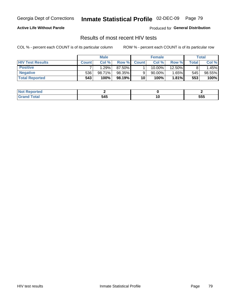Georgia Dept of Corrections

#### Inmate Statistical Profile 02-DEC-09 Page 79

#### **Active Life Without Parole**

Produced for General Distribution

## Results of most recent HIV tests

COL % - percent each COUNT is of its particular column

|                         | <b>Male</b>  |        | <b>Female</b> |              |           | Total    |             |        |
|-------------------------|--------------|--------|---------------|--------------|-----------|----------|-------------|--------|
| <b>HIV Test Results</b> | <b>Count</b> | Col%   | Row %I        | <b>Count</b> | Col %     | Row %    | $\tau$ otal | Col %  |
| <b>Positive</b>         |              | .29%   | 87.50%        |              | $10.00\%$ | 12.50%   |             | .45%   |
| <b>Negative</b>         | 536          | 98.71% | 98.35%        |              | $90.00\%$ | $1.65\%$ | 545         | 98.55% |
| <b>Total Reported</b>   | 543          | 100%   | 98.19%        | 10           | 100%      | 1.81%    | 553         | 100%   |

| <b>Not</b><br>Reported |             |     |
|------------------------|-------------|-----|
| <b>otal</b>            | 545<br>$ -$ | 555 |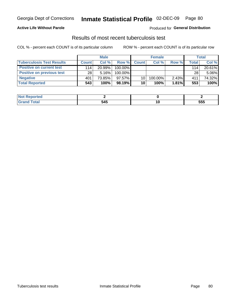## Inmate Statistical Profile 02-DEC-09 Page 80

### **Active Life Without Parole**

Produced for General Distribution

## Results of most recent tuberculosis test

COL % - percent each COUNT is of its particular column

|                                  |              | <b>Male</b> |         |              | <b>Female</b> |          |       | <b>Total</b> |
|----------------------------------|--------------|-------------|---------|--------------|---------------|----------|-------|--------------|
| <b>Tuberculosis Test Results</b> | <b>Count</b> | Col%        | Row %I  | <b>Count</b> | Col %         | Row %    | Total | Col %        |
| <b>Positive on current test</b>  | 114          | 20.99%      | 100.00% |              |               |          | 114   | 20.61%       |
| <b>Positive on previous test</b> | 28           | 5.16%       | 100.00% |              |               |          | 28    | 5.06%        |
| <b>Negative</b>                  | 401          | 73.85%      | 97.57%  | 10           | 100.00%       | $2.43\%$ | 411   | 74.32%       |
| <b>Total Reported</b>            | 543          | 100%        | 98.19%I | 10           | 100%          | 1.81%    | 553   | 100%         |

| <b>Not Reported</b>    |     |     |     |
|------------------------|-----|-----|-----|
| <b>⊺otal</b><br>-Grati | 545 | . . | 555 |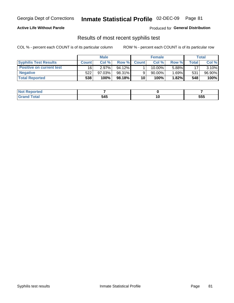#### Inmate Statistical Profile 02-DEC-09 Page 81

### **Active Life Without Parole**

**Produced for General Distribution** 

## Results of most recent syphilis test

COL % - percent each COUNT is of its particular column

|                                 |              | <b>Male</b> |           |              | <b>Female</b> |       |       | Total  |
|---------------------------------|--------------|-------------|-----------|--------------|---------------|-------|-------|--------|
| <b>Syphilis Test Results</b>    | <b>Count</b> | Col%        | Row %     | <b>Count</b> | Col %         | Row % | Total | Col %  |
| <b>Positive on current test</b> | 16           | 2.97%       | $94.12\%$ |              | 10.00%        | 5.88% | 17    | 3.10%  |
| <b>Negative</b>                 | 522          | $97.03\%$   | 98.31%    |              | 90.00%        | 1.69% | 531   | 96.90% |
| <b>Total Reported</b>           | 538          | 100%        | 98.18%    | 10           | 100%          | 1.82% | 548   | 100%   |

| ported<br><b>NOT</b>           |     |        |                   |
|--------------------------------|-----|--------|-------------------|
| $int^{\bullet}$<br>$- - - - -$ | 545 | $\sim$ | <b>EEE</b><br>ວວວ |